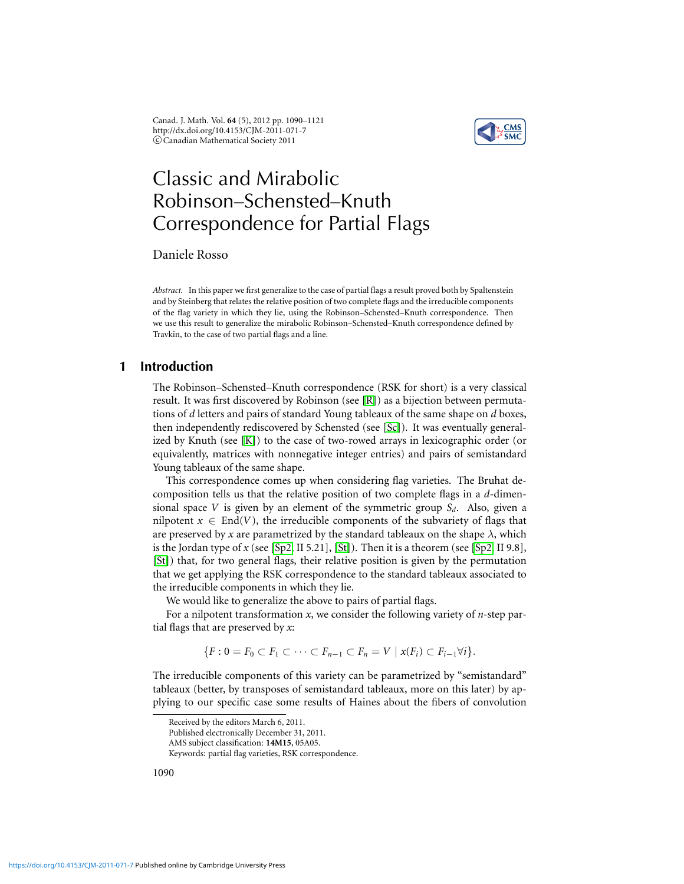Canad. J. Math. Vol. **64** (5), 2012 pp. 1090–1121 http://dx.doi.org/10.4153/CJM-2011-071-7 c Canadian Mathematical Society 2011



# Classic and Mirabolic Robinson–Schensted–Knuth Correspondence for Partial Flags

Daniele Rosso

*Abstract.* In this paper we first generalize to the case of partial flags a result proved both by Spaltenstein and by Steinberg that relates the relative position of two complete flags and the irreducible components of the flag variety in which they lie, using the Robinson–Schensted–Knuth correspondence. Then we use this result to generalize the mirabolic Robinson–Schensted–Knuth correspondence defined by Travkin, to the case of two partial flags and a line.

## **1 Introduction**

The Robinson–Schensted–Knuth correspondence (RSK for short) is a very classical result. It was first discovered by Robinson (see [\[R\]](#page-31-0)) as a bijection between permutations of *d* letters and pairs of standard Young tableaux of the same shape on *d* boxes, then independently rediscovered by Schensted (see [\[Sc\]](#page-31-1)). It was eventually generalized by Knuth (see [\[K\]](#page-31-2)) to the case of two-rowed arrays in lexicographic order (or equivalently, matrices with nonnegative integer entries) and pairs of semistandard Young tableaux of the same shape.

This correspondence comes up when considering flag varieties. The Bruhat decomposition tells us that the relative position of two complete flags in a *d*-dimensional space *V* is given by an element of the symmetric group *Sd*. Also, given a nilpotent  $x \in End(V)$ , the irreducible components of the subvariety of flags that are preserved by *x* are parametrized by the standard tableaux on the shape  $\lambda$ , which is the Jordan type of *x* (see [\[Sp2,](#page-31-3) II 5.21], [\[St\]](#page-31-4)). Then it is a theorem (see [Sp2, II 9.8], [\[St\]](#page-31-4)) that, for two general flags, their relative position is given by the permutation that we get applying the RSK correspondence to the standard tableaux associated to the irreducible components in which they lie.

We would like to generalize the above to pairs of partial flags.

For a nilpotent transformation *x*, we consider the following variety of *n*-step partial flags that are preserved by *x*:

$$
\{F: 0 = F_0 \subset F_1 \subset \cdots \subset F_{n-1} \subset F_n = V \mid x(F_i) \subset F_{i-1} \forall i\}.
$$

The irreducible components of this variety can be parametrized by "semistandard" tableaux (better, by transposes of semistandard tableaux, more on this later) by applying to our specific case some results of Haines about the fibers of convolution

1090

Received by the editors March 6, 2011.

Published electronically December 31, 2011.

AMS subject classification: **14M15**, 05A05.

Keywords: partial flag varieties, RSK correspondence.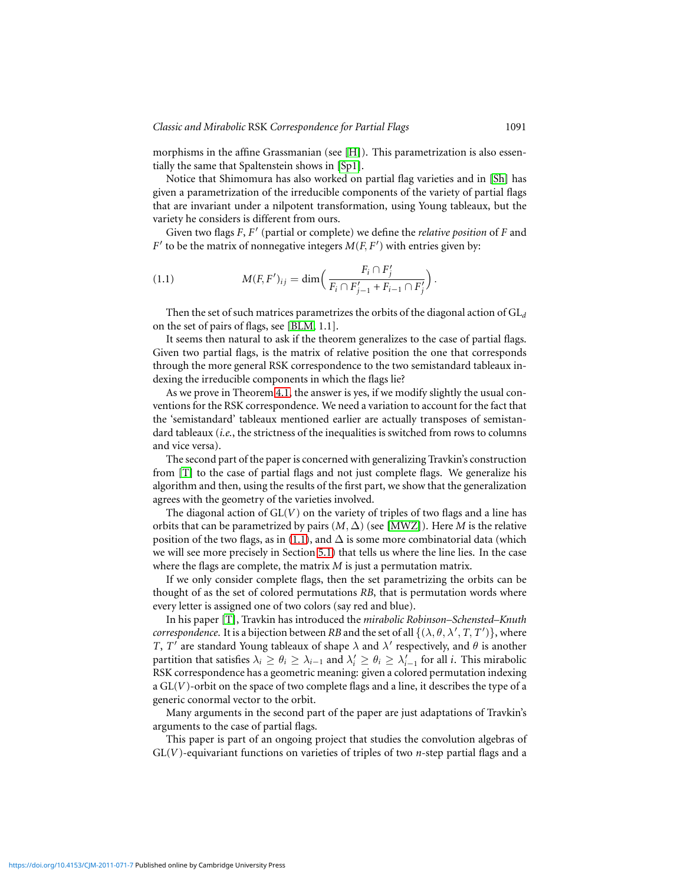morphisms in the affine Grassmanian (see [\[H\]](#page-30-0)). This parametrization is also essentially the same that Spaltenstein shows in [\[Sp1\]](#page-31-5).

Notice that Shimomura has also worked on partial flag varieties and in [\[Sh\]](#page-31-6) has given a parametrization of the irreducible components of the variety of partial flags that are invariant under a nilpotent transformation, using Young tableaux, but the variety he considers is different from ours.

Given two flags *F*, *F* ′ (partial or complete) we define the *relative position* of *F* and  $F'$  to be the matrix of nonnegative integers  $M(F, F')$  with entries given by:

<span id="page-1-0"></span>(1.1) 
$$
M(F, F')_{ij} = \dim \left( \frac{F_i \cap F'_j}{F_i \cap F'_{j-1} + F_{i-1} \cap F'_j} \right).
$$

Then the set of such matrices parametrizes the orbits of the diagonal action of GL*<sup>d</sup>* on the set of pairs of flags, see [\[BLM,](#page-30-1) 1.1].

It seems then natural to ask if the theorem generalizes to the case of partial flags. Given two partial flags, is the matrix of relative position the one that corresponds through the more general RSK correspondence to the two semistandard tableaux indexing the irreducible components in which the flags lie?

As we prove in Theorem [4.1,](#page-9-0) the answer is yes, if we modify slightly the usual conventions for the RSK correspondence. We need a variation to account for the fact that the 'semistandard' tableaux mentioned earlier are actually transposes of semistandard tableaux (*i.e.*, the strictness of the inequalities is switched from rows to columns and vice versa).

The second part of the paper is concerned with generalizing Travkin's construction from [\[T\]](#page-31-7) to the case of partial flags and not just complete flags. We generalize his algorithm and then, using the results of the first part, we show that the generalization agrees with the geometry of the varieties involved.

The diagonal action of GL(*V*) on the variety of triples of two flags and a line has orbits that can be parametrized by pairs  $(M, \Delta)$  (see [\[MWZ\]](#page-31-8)). Here *M* is the relative position of the two flags, as in [\(1.1\)](#page-1-0), and  $\Delta$  is some more combinatorial data (which we will see more precisely in Section [5.1\)](#page-11-0) that tells us where the line lies. In the case where the flags are complete, the matrix *M* is just a permutation matrix.

If we only consider complete flags, then the set parametrizing the orbits can be thought of as the set of colored permutations *RB*, that is permutation words where every letter is assigned one of two colors (say red and blue).

In his paper [\[T\]](#page-31-7), Travkin has introduced the *mirabolic Robinson–Schensted–Knuth correspondence.* It is a bijection between *RB* and the set of all  $\{(\lambda, \theta, \lambda', T, T')\}$ , where *T*, *T'* are standard Young tableaux of shape  $\lambda$  and  $\lambda'$  respectively, and  $\theta$  is another partition that satisfies  $\lambda_i \ge \theta_i \ge \lambda_{i-1}$  and  $\lambda'_i \ge \theta_i \ge \lambda'_{i-1}$  for all *i*. This mirabolic RSK correspondence has a geometric meaning: given a colored permutation indexing a GL(*V*)-orbit on the space of two complete flags and a line, it describes the type of a generic conormal vector to the orbit.

Many arguments in the second part of the paper are just adaptations of Travkin's arguments to the case of partial flags.

This paper is part of an ongoing project that studies the convolution algebras of GL(*V*)-equivariant functions on varieties of triples of two *n*-step partial flags and a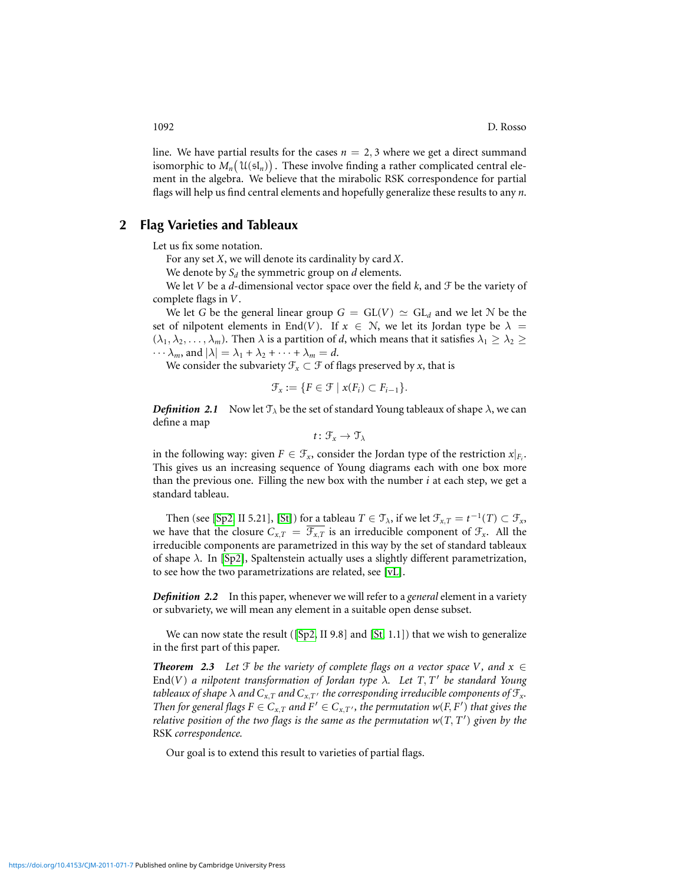line. We have partial results for the cases  $n = 2, 3$  where we get a direct summand isomorphic to  $M_n(\mathfrak{U}(\mathfrak{sl}_n))$ . These involve finding a rather complicated central element in the algebra. We believe that the mirabolic RSK correspondence for partial flags will help us find central elements and hopefully generalize these results to any *n*.

## **2 Flag Varieties and Tableaux**

<span id="page-2-2"></span>Let us fix some notation.

For any set *X*, we will denote its cardinality by card *X*.

We denote by  $S_d$  the symmetric group on  $d$  elements.

We let *V* be a *d*-dimensional vector space over the field *k*, and  $\mathcal F$  be the variety of complete flags in *V*.

We let *G* be the general linear group  $G = GL(V) \simeq GL_d$  and we let *N* be the set of nilpotent elements in End(*V*). If  $x \in \mathbb{N}$ , we let its Jordan type be  $\lambda =$  $(\lambda_1, \lambda_2, \dots, \lambda_m)$ . Then  $\lambda$  is a partition of *d*, which means that it satisfies  $\lambda_1 \geq \lambda_2 \geq$  $\cdots \lambda_m$ , and  $|\lambda| = \lambda_1 + \lambda_2 + \cdots + \lambda_m = d$ .

We consider the subvariety  $\mathcal{F}_x \subset \mathcal{F}$  of flags preserved by *x*, that is

$$
\mathcal{F}_x := \{ F \in \mathcal{F} \mid x(F_i) \subset F_{i-1} \}.
$$

<span id="page-2-0"></span>**Definition 2.1** Now let  $\mathcal{T}_{\lambda}$  be the set of standard Young tableaux of shape  $\lambda$ , we can define a map

$$
t\colon \mathcal{F}_x\to \mathcal{T}_\lambda
$$

in the following way: given  $F \in \mathcal{F}_x$ , consider the Jordan type of the restriction  $x|_{F_i}$ . This gives us an increasing sequence of Young diagrams each with one box more than the previous one. Filling the new box with the number *i* at each step, we get a standard tableau.

Then (see [\[Sp2,](#page-31-3) II 5.21], [\[St\]](#page-31-4)) for a tableau  $T \in \mathcal{T}_{\lambda}$ , if we let  $\mathcal{F}_{x,T} = t^{-1}(T) \subset \mathcal{F}_x$ , we have that the closure  $C_{x,T} = \mathcal{F}_{x,T}$  is an irreducible component of  $\mathcal{F}_x$ . All the irreducible components are parametrized in this way by the set of standard tableaux of shape  $\lambda$ . In [\[Sp2\]](#page-31-3), Spaltenstein actually uses a slightly different parametrization, to see how the two parametrizations are related, see [\[vL\]](#page-31-9).

*Definition 2.2* In this paper, whenever we will refer to a *general* element in a variety or subvariety, we will mean any element in a suitable open dense subset.

We can now state the result ( $[Sp2, II 9.8]$  $[Sp2, II 9.8]$  and  $[St, 1.1]$  $[St, 1.1]$ ) that we wish to generalize in the first part of this paper.

<span id="page-2-1"></span>**Theorem 2.3** Let  $\mathcal F$  *be the variety of complete flags on a vector space* V, and  $x \in$ End(*V*) *a nilpotent transformation of Jordan type* λ*. Let T*, *T* ′ *be standard Young tableaux of shape*  $\lambda$  *and*  $C_{x,T}$  *and*  $C_{x,T}$  *the corresponding irreducible components of*  $\mathcal{F}_x$ *. Then for general flags*  $F \in C_{x,T}$  *and*  $F' \in C_{x,T'}$ *, the permutation*  $w(F, F')$  *that gives the relative position of the two flags is the same as the permutation w*(*T*, *T* ′ ) *given by the* RSK *correspondence.*

Our goal is to extend this result to varieties of partial flags.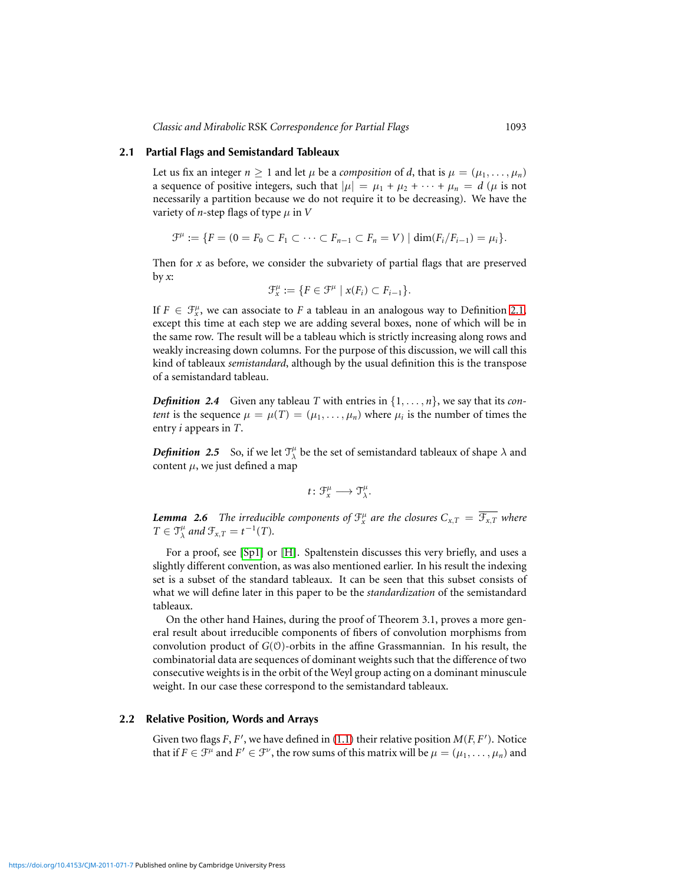#### **2.1 Partial Flags and Semistandard Tableaux**

<span id="page-3-0"></span>Let us fix an integer  $n \ge 1$  and let  $\mu$  be a *composition* of *d*, that is  $\mu = (\mu_1, \dots, \mu_n)$ a sequence of positive integers, such that  $|\mu| = \mu_1 + \mu_2 + \cdots + \mu_n = d$  ( $\mu$  is not necessarily a partition because we do not require it to be decreasing). We have the variety of *n*-step flags of type  $\mu$  in *V* 

$$
\mathcal{F}^{\mu} := \{ F = (0 = F_0 \subset F_1 \subset \cdots \subset F_{n-1} \subset F_n = V) \mid \dim(F_i/F_{i-1}) = \mu_i \}.
$$

Then for *x* as before, we consider the subvariety of partial flags that are preserved by *x*:

$$
\mathcal{F}_x^{\mu} := \{ F \in \mathcal{F}^{\mu} \mid x(F_i) \subset F_{i-1} \}.
$$

If  $F \in \mathcal{F}_{x}^{\mu}$ , we can associate to *F* a tableau in an analogous way to Definition [2.1,](#page-2-0) except this time at each step we are adding several boxes, none of which will be in the same row. The result will be a tableau which is strictly increasing along rows and weakly increasing down columns. For the purpose of this discussion, we will call this kind of tableaux *semistandard*, although by the usual definition this is the transpose of a semistandard tableau.

*Definition* 2.4 Given any tableau *T* with entries in  $\{1, \ldots, n\}$ , we say that its *content* is the sequence  $\mu = \mu(T) = (\mu_1, \dots, \mu_n)$  where  $\mu_i$  is the number of times the entry *i* appears in *T*.

<span id="page-3-1"></span>**Definition** 2.5 So, if we let  $\mathcal{T}^{\mu}_{\lambda}$  be the set of semistandard tableaux of shape  $\lambda$  and content  $\mu$ , we just defined a map

$$
t\colon \mathfrak{F}^\mu_x\longrightarrow \mathfrak{T}^\mu_\lambda.
$$

*Lemma 2.6 The irreducible components of*  $\mathfrak{F}^\mu_x$  *are the closures*  $C_{\text{x,}T} = \overline{\mathfrak{F}_{\text{x,T}}}$  *where*  $T \in \mathfrak{T}^\mu_\lambda$  and  $\mathfrak{F}_{x,T} = t^{-1}(T)$ .

For a proof, see [\[Sp1\]](#page-31-5) or [\[H\]](#page-30-0). Spaltenstein discusses this very briefly, and uses a slightly different convention, as was also mentioned earlier. In his result the indexing set is a subset of the standard tableaux. It can be seen that this subset consists of what we will define later in this paper to be the *standardization* of the semistandard tableaux.

On the other hand Haines, during the proof of Theorem 3.1, proves a more general result about irreducible components of fibers of convolution morphisms from convolution product of *G*(O)-orbits in the affine Grassmannian. In his result, the combinatorial data are sequences of dominant weights such that the difference of two consecutive weights is in the orbit of the Weyl group acting on a dominant minuscule weight. In our case these correspond to the semistandard tableaux.

## **2.2 Relative Position, Words and Arrays**

<span id="page-3-2"></span>Given two flags  $F$ ,  $F'$ , we have defined in [\(1.1\)](#page-1-0) their relative position  $M(F, F')$ . Notice that if  $F \in \mathcal{F}^{\mu}$  and  $F' \in \mathcal{F}^{\nu}$ , the row sums of this matrix will be  $\mu = (\mu_1, \dots, \mu_n)$  and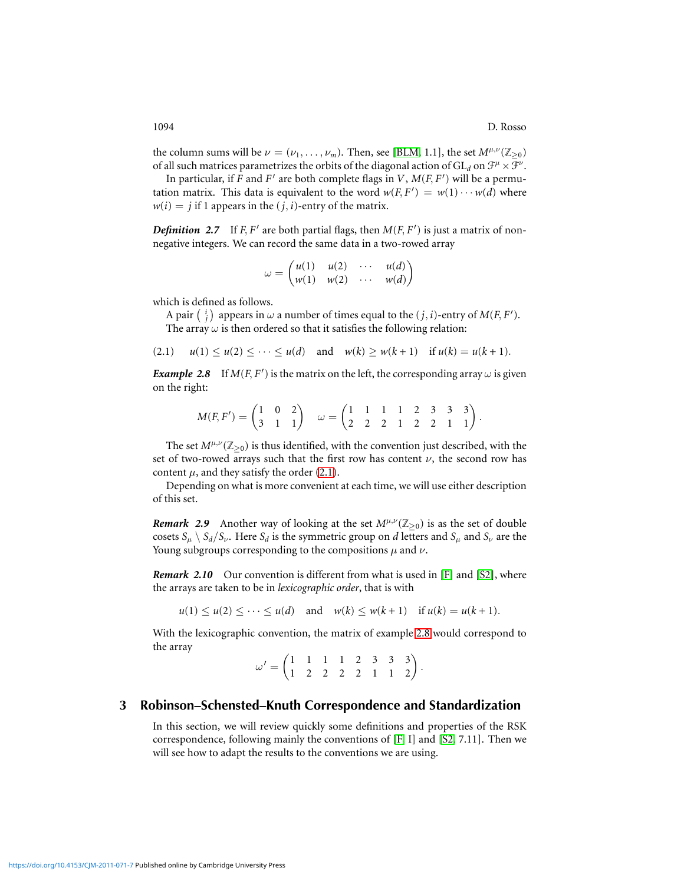the column sums will be  $\nu = (\nu_1, \dots, \nu_m)$ . Then, see [\[BLM,](#page-30-1) 1.1], the set  $M^{\mu,\nu}(\mathbb{Z}_{\geq 0})$ of all such matrices parametrizes the orbits of the diagonal action of  $\mathrm{GL}_d$  on  $\mathfrak{F}^\mu\times\bar{\mathfrak{F}}^\nu.$ 

In particular, if  $F$  and  $F'$  are both complete flags in  $V$ ,  $M(F, F')$  will be a permutation matrix. This data is equivalent to the word  $w(F, F') = w(1) \cdots w(d)$  where  $w(i) = j$  if 1 appears in the  $(j, i)$ -entry of the matrix.

<span id="page-4-3"></span>**Definition** 2.7 If  $F$ ,  $F'$  are both partial flags, then  $M(F, F')$  is just a matrix of nonnegative integers. We can record the same data in a two-rowed array

$$
\omega = \begin{pmatrix} u(1) & u(2) & \cdots & u(d) \\ w(1) & w(2) & \cdots & w(d) \end{pmatrix}
$$

which is defined as follows.

A pair  $\binom{i}{j}$  appears in  $\omega$  a number of times equal to the  $(j, i)$ -entry of  $M(F, F')$ . The array  $\omega$  is then ordered so that it satisfies the following relation:

<span id="page-4-0"></span>
$$
(2.1) \quad u(1) \le u(2) \le \cdots \le u(d) \quad \text{and} \quad w(k) \ge w(k+1) \quad \text{if } u(k) = u(k+1).
$$

<span id="page-4-1"></span>*Example 2.8* If  $M(F, F')$  is the matrix on the left, the corresponding array  $\omega$  is given on the right:

$$
M(F, F') = \begin{pmatrix} 1 & 0 & 2 \\ 3 & 1 & 1 \end{pmatrix} \quad \omega = \begin{pmatrix} 1 & 1 & 1 & 1 & 2 & 3 & 3 & 3 \\ 2 & 2 & 2 & 1 & 2 & 2 & 1 & 1 \end{pmatrix}.
$$

The set  $M^{\mu,\nu}(\mathbb{Z}_{\geq 0})$  is thus identified, with the convention just described, with the set of two-rowed arrays such that the first row has content  $\nu$ , the second row has content  $\mu$ , and they satisfy the order [\(2.1\)](#page-4-0).

Depending on what is more convenient at each time, we will use either description of this set.

<span id="page-4-4"></span>*Remark* 2.9 Another way of looking at the set  $M^{\mu,\nu}(\mathbb{Z}_{\geq 0})$  is as the set of double cosets  $S_\mu \setminus S_d/S_\nu$ . Here  $S_d$  is the symmetric group on *d* letters and  $S_\mu$  and  $S_\nu$  are the Young subgroups corresponding to the compositions  $\mu$  and  $\nu$ .

<span id="page-4-2"></span>*Remark 2.10* Our convention is different from what is used in [\[F\]](#page-30-2) and [\[S2\]](#page-31-10), where the arrays are taken to be in *lexicographic order*, that is with

 $u(1) \le u(2) \le \cdots \le u(d)$  and  $w(k) \le w(k+1)$  if  $u(k) = u(k+1)$ .

With the lexicographic convention, the matrix of example [2.8](#page-4-1) would correspond to the array

$$
\omega' = \begin{pmatrix} 1 & 1 & 1 & 1 & 2 & 3 & 3 & 3 \\ 1 & 2 & 2 & 2 & 2 & 1 & 1 & 2 \end{pmatrix}.
$$

## **3 Robinson–Schensted–Knuth Correspondence and Standardization**

In this section, we will review quickly some definitions and properties of the RSK correspondence, following mainly the conventions of  $[F, I]$  $[F, I]$  and  $[S2, 7.11]$  $[S2, 7.11]$ . Then we will see how to adapt the results to the conventions we are using.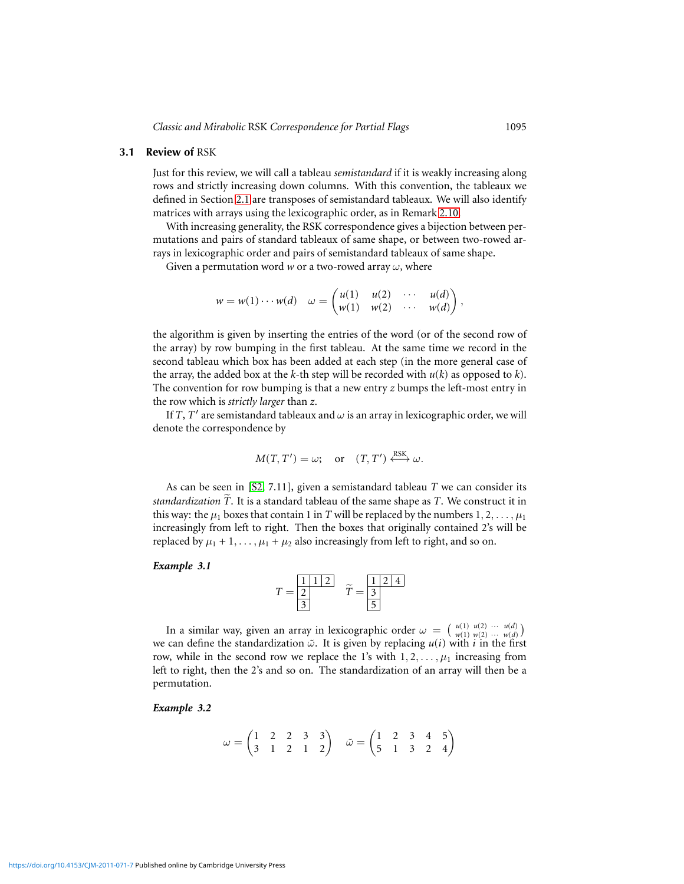#### **3.1 Review of** RSK

Just for this review, we will call a tableau *semistandard* if it is weakly increasing along rows and strictly increasing down columns. With this convention, the tableaux we defined in Section [2.1](#page-3-0) are transposes of semistandard tableaux. We will also identify matrices with arrays using the lexicographic order, as in Remark [2.10.](#page-4-2)

With increasing generality, the RSK correspondence gives a bijection between permutations and pairs of standard tableaux of same shape, or between two-rowed arrays in lexicographic order and pairs of semistandard tableaux of same shape.

Given a permutation word  $w$  or a two-rowed array  $\omega$ , where

$$
w=w(1)\cdots w(d) \quad \omega=\begin{pmatrix}u(1)&u(2)&\cdots&u(d)\\w(1)&w(2)&\cdots&w(d)\end{pmatrix},
$$

the algorithm is given by inserting the entries of the word (or of the second row of the array) by row bumping in the first tableau. At the same time we record in the second tableau which box has been added at each step (in the more general case of the array, the added box at the *k*-th step will be recorded with *u*(*k*) as opposed to *k*). The convention for row bumping is that a new entry *z* bumps the left-most entry in the row which is *strictly larger* than *z*.

If  $T$ ,  $T'$  are semistandard tableaux and  $\omega$  is an array in lexicographic order, we will denote the correspondence by

$$
M(T, T') = \omega;
$$
 or  $(T, T') \stackrel{RSK}{\longleftrightarrow} \omega.$ 

As can be seen in [\[S2,](#page-31-10) 7.11], given a semistandard tableau *T* we can consider its *standardization T*. It is a standard tableau of the same shape as *T*. We construct it in this way: the  $\mu_1$  boxes that contain 1 in *T* will be replaced by the numbers  $1, 2, \ldots, \mu_1$ increasingly from left to right. Then the boxes that originally contained 2's will be replaced by  $\mu_1 + 1, \ldots, \mu_1 + \mu_2$  also increasingly from left to right, and so on.

#### <span id="page-5-0"></span>*Example 3.1*

$$
T = \frac{\boxed{1 \ 1 \ 1 \ 2}}{3} \quad \tilde{T} = \frac{\boxed{1 \ 2 \ 4}}{5}
$$

In a similar way, given an array in lexicographic order  $\omega = \begin{pmatrix} u(1) & u(2) & \cdots & u(d) \\ w(1) & w(2) & \cdots & w(d) \end{pmatrix}$ we can define the standardization  $\tilde{\omega}$ . It is given by replacing  $u(i)$  with *i* in the first row, while in the second row we replace the 1's with  $1, 2, \ldots, \mu_1$  increasing from left to right, then the 2's and so on. The standardization of an array will then be a permutation.

#### <span id="page-5-1"></span>*Example 3.2*

$$
\omega = \begin{pmatrix} 1 & 2 & 2 & 3 & 3 \\ 3 & 1 & 2 & 1 & 2 \end{pmatrix} \quad \tilde{\omega} = \begin{pmatrix} 1 & 2 & 3 & 4 & 5 \\ 5 & 1 & 3 & 2 & 4 \end{pmatrix}
$$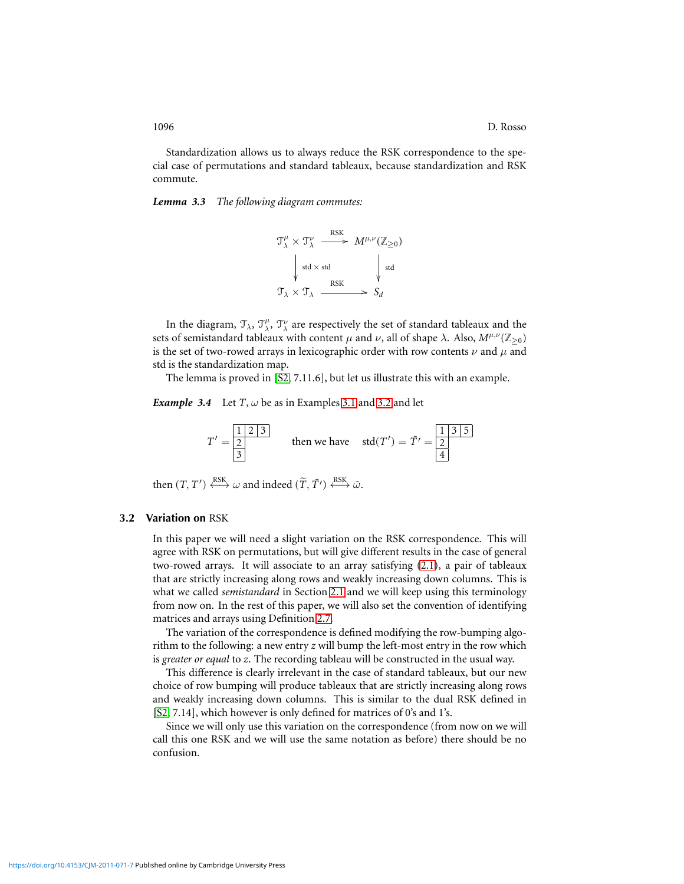Standardization allows us to always reduce the RSK correspondence to the special case of permutations and standard tableaux, because standardization and RSK commute.

<span id="page-6-0"></span>*Lemma 3.3 The following diagram commutes:*

$$
\mathcal{T}^{\mu}_{\lambda} \times \mathcal{T}^{\nu}_{\lambda} \xrightarrow{\text{RSK}} M^{\mu,\nu}(\mathbb{Z}_{\geq 0})
$$
\n
$$
\downarrow \text{std} \times \text{std} \qquad \qquad \downarrow \text{std}
$$
\n
$$
\mathcal{T}_{\lambda} \times \mathcal{T}_{\lambda} \xrightarrow{\text{RSK}} S_d
$$

In the diagram,  $\mathfrak{T}_\lambda$ ,  $\mathfrak{T}^\nu_\lambda$ ,  $\mathfrak{T}^\nu_\lambda$  are respectively the set of standard tableaux and the sets of semistandard tableaux with content  $\mu$  and  $\nu$ , all of shape  $\lambda$ . Also,  $M^{\mu,\nu}(\mathbb{Z}_{\geq 0})$ is the set of two-rowed arrays in lexicographic order with row contents  $\nu$  and  $\mu$  and std is the standardization map.

The lemma is proved in [\[S2,](#page-31-10) 7.11.6], but let us illustrate this with an example.

*Example 3.4* Let  $T$ ,  $\omega$  be as in Examples [3.1](#page-5-0) and [3.2](#page-5-1) and let

$$
T' = \frac{\boxed{1 \ 2 \ 3}}{3}
$$
 then we have  $std(T') = \tilde{T}' = \frac{\boxed{1 \ 3 \ 5}}{4}$ 

<span id="page-6-1"></span>then  $(T, T') \xleftrightarrow{\text{RSK}} \omega$  and indeed  $(\widetilde{T}, \widetilde{T}') \xleftrightarrow{\text{RSK}} \widetilde{\omega}$ .

#### **3.2 Variation on** RSK

In this paper we will need a slight variation on the RSK correspondence. This will agree with RSK on permutations, but will give different results in the case of general two-rowed arrays. It will associate to an array satisfying [\(2.1\)](#page-4-0), a pair of tableaux that are strictly increasing along rows and weakly increasing down columns. This is what we called *semistandard* in Section [2.1](#page-3-0) and we will keep using this terminology from now on. In the rest of this paper, we will also set the convention of identifying matrices and arrays using Definition [2.7.](#page-4-3)

The variation of the correspondence is defined modifying the row-bumping algorithm to the following: a new entry *z* will bump the left-most entry in the row which is *greater or equal* to *z*. The recording tableau will be constructed in the usual way.

This difference is clearly irrelevant in the case of standard tableaux, but our new choice of row bumping will produce tableaux that are strictly increasing along rows and weakly increasing down columns. This is similar to the dual RSK defined in [\[S2,](#page-31-10) 7.14], which however is only defined for matrices of 0's and 1's.

Since we will only use this variation on the correspondence (from now on we will call this one RSK and we will use the same notation as before) there should be no confusion.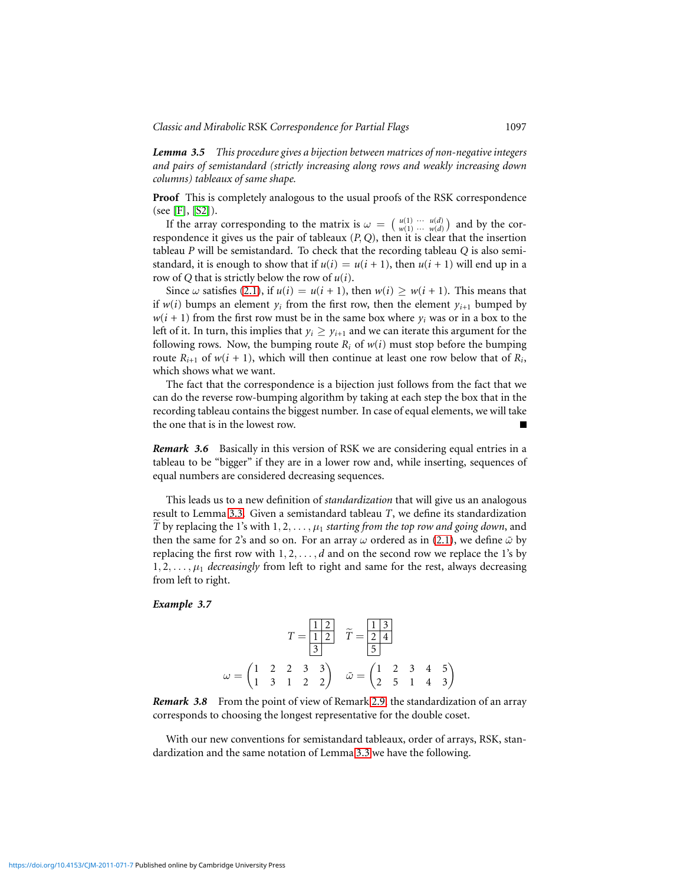*Lemma 3.5 This procedure gives a bijection between matrices of non-negative integers and pairs of semistandard (strictly increasing along rows and weakly increasing down columns) tableaux of same shape.*

**Proof** This is completely analogous to the usual proofs of the RSK correspondence (see [\[F\]](#page-30-2), [\[S2\]](#page-31-10)).

If the array corresponding to the matrix is  $\omega = \left(\begin{array}{c} u(1) & \cdots & u(d) \\ w(1) & \cdots & w(d) \end{array}\right)$  and by the correspondence it gives us the pair of tableaux (*P*, *Q*), then it is clear that the insertion tableau *P* will be semistandard. To check that the recording tableau *Q* is also semistandard, it is enough to show that if  $u(i) = u(i + 1)$ , then  $u(i + 1)$  will end up in a row of *Q* that is strictly below the row of *u*(*i*).

Since  $\omega$  satisfies [\(2.1\)](#page-4-0), if  $u(i) = u(i + 1)$ , then  $w(i) > w(i + 1)$ . This means that if  $w(i)$  bumps an element  $y_i$  from the first row, then the element  $y_{i+1}$  bumped by  $w(i + 1)$  from the first row must be in the same box where  $y_i$  was or in a box to the left of it. In turn, this implies that  $y_i \geq y_{i+1}$  and we can iterate this argument for the following rows. Now, the bumping route  $R_i$  of  $w(i)$  must stop before the bumping route  $R_{i+1}$  of  $w(i + 1)$ , which will then continue at least one row below that of  $R_i$ , which shows what we want.

The fact that the correspondence is a bijection just follows from the fact that we can do the reverse row-bumping algorithm by taking at each step the box that in the recording tableau contains the biggest number. In case of equal elements, we will take the one that is in the lowest row.

*Remark 3.6* Basically in this version of RSK we are considering equal entries in a tableau to be "bigger" if they are in a lower row and, while inserting, sequences of equal numbers are considered decreasing sequences.

This leads us to a new definition of *standardization* that will give us an analogous result to Lemma [3.3.](#page-6-0) Given a semistandard tableau *T*, we define its standardization *T* by replacing the 1's with  $1, 2, \ldots, \mu_1$  *starting from the top row and going down*, and then the same for 2's and so on. For an array  $\omega$  ordered as in [\(2.1\)](#page-4-0), we define  $\tilde{\omega}$  by replacing the first row with  $1, 2, \ldots, d$  and on the second row we replace the 1's by  $1, 2, \ldots, \mu_1$  *decreasingly* from left to right and same for the rest, always decreasing from left to right.

## <span id="page-7-0"></span>*Example 3.7*

$$
T = \frac{\boxed{1 \ 2}}{3} \quad \widetilde{T} = \frac{\boxed{1 \ 3}}{5}
$$

$$
\omega = \begin{pmatrix} 1 & 2 & 2 & 3 & 3 \\ 1 & 3 & 1 & 2 & 2 \end{pmatrix} \quad \widetilde{\omega} = \begin{pmatrix} 1 & 2 & 3 & 4 & 5 \\ 2 & 5 & 1 & 4 & 3 \end{pmatrix}
$$

*Remark 3.8* From the point of view of Remark [2.9,](#page-4-4) the standardization of an array corresponds to choosing the longest representative for the double coset.

With our new conventions for semistandard tableaux, order of arrays, RSK, standardization and the same notation of Lemma [3.3](#page-6-0) we have the following.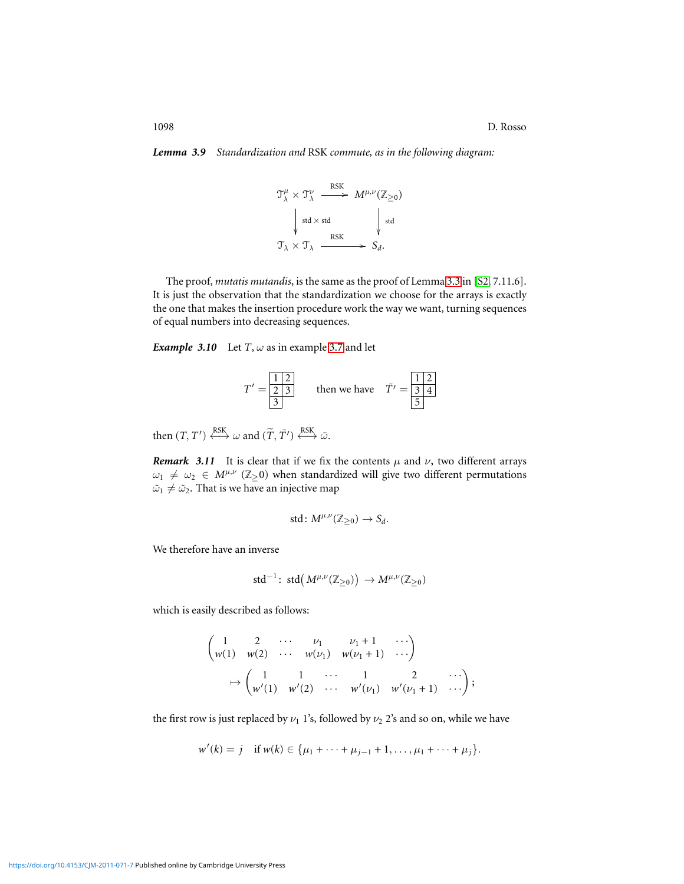<span id="page-8-0"></span>*Lemma 3.9 Standardization and* RSK *commute, as in the following diagram:*

$$
\mathcal{T}^{\mu}_{\lambda} \times \mathcal{T}^{\nu}_{\lambda} \longrightarrow \begin{array}{c} \text{RSK} \\ \text{M}^{\mu,\nu}(\mathbb{Z}_{\geq 0}) \end{array}
$$
\n
$$
\downarrow \text{std} \times \text{std} \qquad \qquad \downarrow \text{std}
$$
\n
$$
\mathcal{T}_{\lambda} \times \mathcal{T}_{\lambda} \longrightarrow S_d.
$$

The proof, *mutatis mutandis*, is the same as the proof of Lemma [3.3](#page-6-0) in [\[S2,](#page-31-10) 7.11.6]. It is just the observation that the standardization we choose for the arrays is exactly the one that makes the insertion procedure work the way we want, turning sequences of equal numbers into decreasing sequences.

*Example 3.10* Let  $T$ ,  $\omega$  as in example [3.7](#page-7-0) and let

$$
T' = \frac{12}{3} \qquad \text{then we have} \quad \tilde{T}' = \frac{12}{34}
$$

then  $(T, T') \xleftrightarrow{\text{RSK}} \omega$  and  $(\widetilde{T}, \widetilde{T}') \xleftrightarrow{\text{RSK}} \widetilde{\omega}$ .

<span id="page-8-1"></span>*Remark* 3.11 It is clear that if we fix the contents  $\mu$  and  $\nu$ , two different arrays  $\omega_1 \neq \omega_2 \in M^{\mu,\nu}$  (Z>0) when standardized will give two different permutations  $\tilde{\omega}_1 \neq \tilde{\omega}_2$ . That is we have an injective map

$$
\text{std}\colon M^{\mu,\nu}(\mathbb{Z}_{\geq 0})\to S_d.
$$

We therefore have an inverse

$$
\text{std}^{-1}\colon \operatorname{std}\big({M^{\mu,\nu}(\mathbb{Z}_{\geq 0})}\big) \to {M^{\mu,\nu}(\mathbb{Z}_{\geq 0})}
$$

which is easily described as follows:

$$
\begin{pmatrix} 1 & 2 & \cdots & \nu_1 & \nu_1 + 1 & \cdots \\ w(1) & w(2) & \cdots & w(\nu_1) & w(\nu_1 + 1) & \cdots \end{pmatrix}
$$
  

$$
\mapsto \begin{pmatrix} 1 & 1 & \cdots & 1 & 2 & \cdots \\ w'(1) & w'(2) & \cdots & w'(\nu_1) & w'(\nu_1 + 1) & \cdots \end{pmatrix};
$$

the first row is just replaced by  $\nu_1$  1's, followed by  $\nu_2$  2's and so on, while we have

$$
w'(k) = j
$$
 if  $w(k) \in {\mu_1 + \cdots + \mu_{j-1} + 1, ..., \mu_1 + \cdots + \mu_j}.$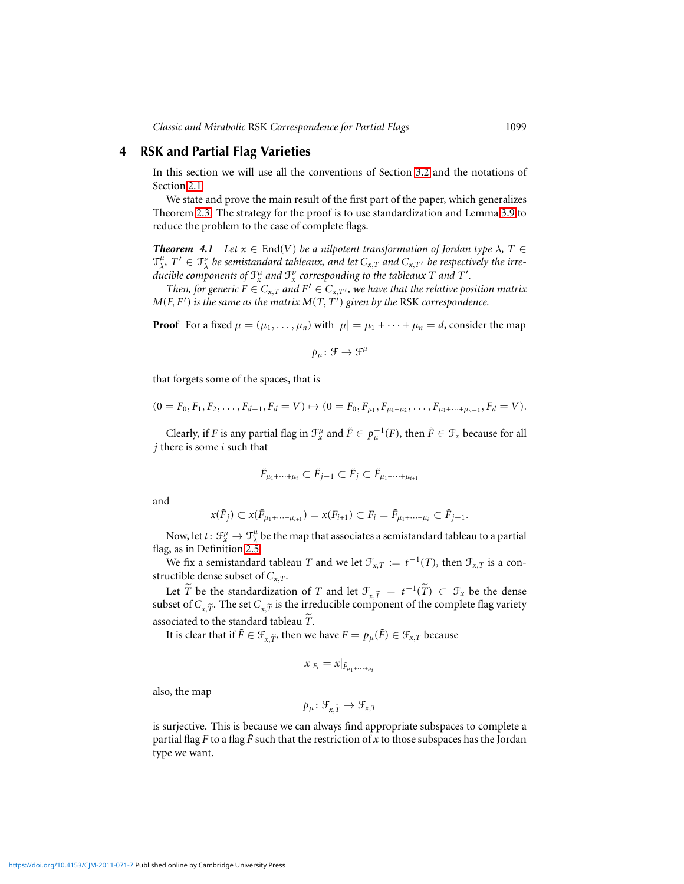## **4 RSK and Partial Flag Varieties**

In this section we will use all the conventions of Section [3.2](#page-6-1) and the notations of Section [2.1.](#page-3-0)

We state and prove the main result of the first part of the paper, which generalizes Theorem [2.3.](#page-2-1) The strategy for the proof is to use standardization and Lemma [3.9](#page-8-0) to reduce the problem to the case of complete flags.

<span id="page-9-0"></span>*Theorem 4.1 Let*  $x \in End(V)$  *be a nilpotent transformation of Jordan type*  $\lambda$ ,  $T \in$  $\mathfrak{T}_{\lambda}^{\mu}$ ,  $T' \in \mathfrak{T}_{\lambda}^{\nu}$  be semistandard tableaux, and let  $C_{x,T}$  and  $C_{x,T'}$  be respectively the irre $d$  *a a ducible components of*  $\mathfrak{F}_{x}^{\mu}$  *and*  $\mathfrak{F}_{x}^{\nu}$  *corresponding to the tableaux T and T'*.

*Then, for generic F*  $\in$  *C*<sub>*x*,*T*</sub> *and*  $F' \in C_{x,T}$ , *we have that the relative position matrix*  $M(F, F')$  *is the same as the matrix*  $M(T, T')$  *given by the RSK correspondence.* 

**Proof** For a fixed  $\mu = (\mu_1, \dots, \mu_n)$  with  $|\mu| = \mu_1 + \dots + \mu_n = d$ , consider the map

$$
p_\mu\colon \mathcal{F}\to \mathcal{F}^\mu
$$

that forgets some of the spaces, that is

$$
(0 = F_0, F_1, F_2, \ldots, F_{d-1}, F_d = V) \mapsto (0 = F_0, F_{\mu_1}, F_{\mu_1 + \mu_2}, \ldots, F_{\mu_1 + \cdots + \mu_{n-1}}, F_d = V).
$$

Clearly, if *F* is any partial flag in  $\mathcal{F}^\mu_x$  and  $\tilde{F} \in p_\mu^{-1}(F)$ , then  $\tilde{F} \in \mathcal{F}_x$  because for all *j* there is some *i* such that

$$
\tilde{F}_{\mu_1+\cdots+\mu_i}\subset \tilde{F}_{j-1}\subset \tilde{F}_j\subset \tilde{F}_{\mu_1+\cdots+\mu_{i+1}}
$$

and

$$
x(\tilde{F}_j) \subset x(\tilde{F}_{\mu_1 + \dots + \mu_{i+1}}) = x(F_{i+1}) \subset F_i = \tilde{F}_{\mu_1 + \dots + \mu_i} \subset \tilde{F}_{j-1}.
$$

Now, let  $t\colon \mathcal{F}^\mu_x\to \mathcal{T}^\mu_\lambda$  be the map that associates a semistandard tableau to a partial flag, as in Definition [2.5.](#page-3-1)

We fix a semistandard tableau *T* and we let  $\mathcal{F}_{x,T} := t^{-1}(T)$ , then  $\mathcal{F}_{x,T}$  is a constructible dense subset of *Cx*,*T*.

Let  $\widetilde{T}$  be the standardization of *T* and let  $\mathcal{F}_{x,\widetilde{T}} = t^{-1}(\widetilde{T}) \subset \mathcal{F}_x$  be the dense subset of  $C_{\mathbf{x},\widetilde{T}}$ . The set  $C_{\mathbf{x},\widetilde{T}}$  is the irreducible component of the complete flag variety associated to the standard tableau *T*.

It is clear that if  $\tilde{F} \in \mathcal{F}_{\tilde{r}}$ , then we have  $F = p_\mu(\tilde{F}) \in \mathcal{F}_{x,T}$  because

$$
x|_{F_i}=x|_{\tilde{F}_{\mu_1+\cdots+\mu_i}}
$$

also, the map

$$
p_{\mu} \colon \mathcal{F}_{x,\widetilde{T}} \to \mathcal{F}_{x,T}
$$

is surjective. This is because we can always find appropriate subspaces to complete a partial flag *F* to a flag  $\tilde{F}$  such that the restriction of *x* to those subspaces has the Jordan type we want.

<https://doi.org/10.4153/CJM-2011-071-7>Published online by Cambridge University Press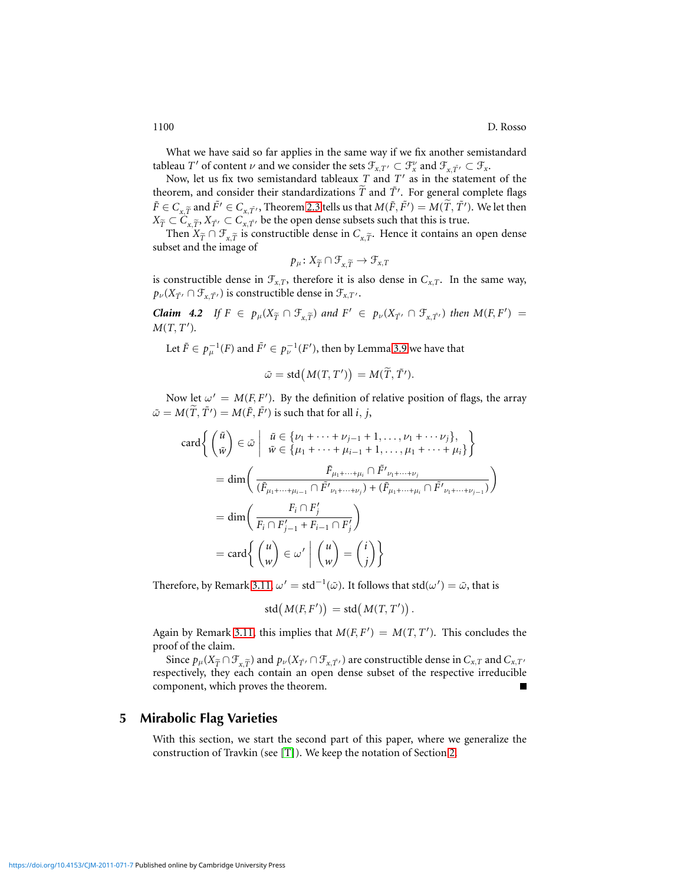What we have said so far applies in the same way if we fix another semistandard tableau *T'* of content  $\nu$  and we consider the sets  $\mathcal{F}_{x,T'} \subset \mathcal{F}_{x}$  and  $\mathcal{F}_{x,T'} \subset \mathcal{F}_{x}$ .

Now, let us fix two semistandard tableaux *T* and *T* ′ as in the statement of the theorem, and consider their standardizations  $\widetilde{T}$  and  $\widetilde{T'}$ . For general complete flags  $\tilde{F}\in C_{x,\widetilde{T}}$  and  $\tilde{F'}\in C_{x,\widetilde{T'}},$  Theorem [2.3](#page-2-1) tells us that  $M(\tilde{F},\tilde{F'})=M(\widetilde{T},\tilde{T'}).$  We let then  $X_{\widetilde{T}} \subset \widetilde{C}_{x,\widetilde{T}}, X_{\widetilde{T}} \subset C_{x,\widetilde{T}}$ <sup>n</sup> be the open dense subsets such that this is true.

Then  $X_{\widetilde{T}} \cap \mathcal{F}_{x,\widetilde{T}}$  is constructible dense in  $C_{x,\widetilde{T}}$ . Hence it contains an open dense subset and the image of

$$
p_{\mu} \colon X_{\widetilde{T}} \cap \mathcal{F}_{x,\widetilde{T}} \to \mathcal{F}_{x,T}
$$

is constructible dense in  $\mathcal{F}_{x,T}$ , therefore it is also dense in  $C_{x,T}$ . In the same way,  $p_{\nu}(X_{\tilde{T'}} \cap \mathcal{F}_{x,\tilde{T'}})$  is constructible dense in  $\mathcal{F}_{x,T'}$ .

*Claim 4.2 If*  $F \in p_\mu(X_{\widetilde{T}} \cap \mathcal{F}_{x,\widetilde{T}})$  *and*  $F' \in p_\nu(X_{\widetilde{T}'} \cap \mathcal{F}_{x,\widetilde{T}'})$  *then*  $M(F, F') =$ *M*(*T*, *T* ′ )*.*

Let  $\tilde{F} \in p_{\mu}^{-1}(F)$  and  $\tilde{F'} \in p_{\nu}^{-1}(F'),$  then by Lemma [3.9](#page-8-0) we have that

$$
\tilde{\omega} = \text{std}\big(M(T, T')\big) = M(\tilde{T}, \tilde{T'}).
$$

Now let  $\omega' = M(F, F')$ . By the definition of relative position of flags, the array  $\tilde{\omega} = M(\tilde{T}, \tilde{T}') = M(\tilde{F}, \tilde{F}')$  is such that for all *i*, *j*,

$$
\operatorname{card}\left\{\begin{pmatrix}\tilde{u} \\ \tilde{w}\end{pmatrix} \in \tilde{\omega} \middle| \begin{array}{l}\tilde{u} \in \{\nu_1 + \dots + \nu_{j-1} + 1, \dots, \nu_1 + \dots + \nu_j\}, \\ \tilde{w} \in \{\mu_1 + \dots + \mu_{i-1} + 1, \dots, \mu_1 + \dots + \mu_i\}\end{array}\right\}
$$
\n
$$
= \dim\left(\frac{\tilde{F}_{\mu_1 + \dots + \mu_i} \cap \tilde{F'}_{\nu_1 + \dots + \nu_j}}{(\tilde{F}_{\mu_1 + \dots + \mu_{i-1}} \cap \tilde{F'}_{\nu_1 + \dots + \nu_j}) + (\tilde{F}_{\mu_1 + \dots + \mu_i} \cap \tilde{F'}_{\nu_1 + \dots + \nu_{j-1}})}\right)
$$
\n
$$
= \dim\left(\frac{F_i \cap F'_j}{F_i \cap F'_{j-1} + F_{i-1} \cap F'_j}\right)
$$
\n
$$
= \operatorname{card}\left\{\begin{array}{l}\begin{pmatrix}u \\ w\end{pmatrix} \in \omega' \middle| \begin{pmatrix}u \\ w\end{pmatrix} = \begin{pmatrix}i \\ j\end{pmatrix}\right\}
$$

Therefore, by Remark [3.11,](#page-8-1)  $\omega' = std^{-1}(\tilde{\omega})$ . It follows that  $std(\omega') = \tilde{\omega}$ , that is

$$
std(M(F, F')) = std(M(T, T')).
$$

Again by Remark [3.11,](#page-8-1) this implies that  $M(F, F') = M(T, T')$ . This concludes the proof of the claim.

Since  $p_\mu(X_{\widetilde{T}} \cap \mathcal{F}_{x,\widetilde{T}})$  and  $p_\nu(X_{\widetilde{T}} \cap \mathcal{F}_{x,\widetilde{T}})$  are constructible dense in  $C_{x,T}$  and  $C_{x,T'}$ respectively, they each contain an open dense subset of the respective irreducible component, which proves the theorem.

## **5 Mirabolic Flag Varieties**

With this section, we start the second part of this paper, where we generalize the construction of Travkin (see [\[T\]](#page-31-7)). We keep the notation of Section [2.](#page-2-2)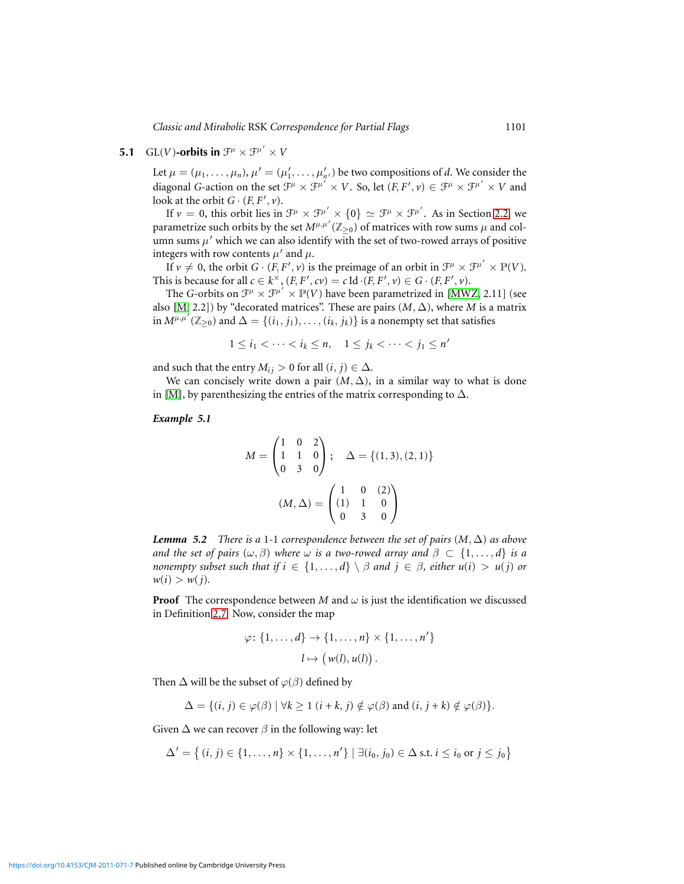## **5.1** GL(*V*)-orbits in  $\mathcal{F}^{\mu} \times \mathcal{F}^{\mu'} \times V$

<span id="page-11-0"></span>Let  $\mu = (\mu_1, \dots, \mu_n)$ ,  $\mu' = (\mu'_1, \dots, \mu'_{n'})$  be two compositions of *d*. We consider the diagonal *G*-action on the set  $\mathcal{F}^{\mu} \times \mathcal{F}^{\mu'} \times V$ . So, let  $(F, F', v) \in \mathcal{F}^{\mu} \times \mathcal{F}^{\mu'} \times V$  and look at the orbit  $G \cdot (F, F', v)$ .

If  $v = 0$ , this orbit lies in  $\mathcal{F}^{\mu} \times \mathcal{F}^{\mu'} \times \{0\} \simeq \mathcal{F}^{\mu} \times \mathcal{F}^{\mu'}$ . As in Section [2.2,](#page-3-2) we parametrize such orbits by the set  $M^{\mu,\mu'}(\mathbb{Z}_{\geq 0})$  of matrices with row sums  $\mu$  and column sums  $\mu'$  which we can also identify with the set of two-rowed arrays of positive integers with row contents  $\mu'$  and  $\mu$ .

If  $v \neq 0$ , the orbit  $G \cdot (F, F', v)$  is the preimage of an orbit in  $\mathcal{F}^{\mu} \times \mathcal{F}^{\mu'} \times \mathbb{P}(V)$ . This is because for all  $c \in k^{\times}$ ,  $(F, F', cv) = c \operatorname{Id} \cdot (F, F', v) \in G \cdot (F, F', v)$ .

The *G*-orbits on  $\mathcal{F}^{\mu} \times \mathcal{F}^{\mu'} \times \mathbb{P}(V)$  have been parametrized in [\[MWZ,](#page-31-8) 2.11] (see also [\[M,](#page-31-11) 2.2]) by "decorated matrices". These are pairs  $(M, \Delta)$ , where *M* is a matrix in  $M^{\mu,\mu'}(\mathbb{Z}_{\geq 0})$  and  $\Delta = \{(i_1, j_1), \ldots, (i_k, j_k)\}$  is a nonempty set that satisfies

$$
1\leq i_1<\cdots
$$

and such that the entry  $M_{ij} > 0$  for all  $(i, j) \in \Delta$ .

We can concisely write down a pair  $(M, \Delta)$ , in a similar way to what is done in [\[M\]](#page-31-11), by parenthesizing the entries of the matrix corresponding to  $\Delta$ .

<span id="page-11-1"></span>*Example 5.1*

$$
M = \begin{pmatrix} 1 & 0 & 2 \\ 1 & 1 & 0 \\ 0 & 3 & 0 \end{pmatrix}; \quad \Delta = \{(1,3), (2,1)\}
$$

$$
(M, \Delta) = \begin{pmatrix} 1 & 0 & (2) \\ (1) & 1 & 0 \\ 0 & 3 & 0 \end{pmatrix}
$$

<span id="page-11-2"></span>*Lemma 5.2 There is a* 1-1 *correspondence between the set of pairs*  $(M, \Delta)$  *as above and the set of pairs*  $(\omega, \beta)$  *where*  $\omega$  *is a two-rowed array and*  $\beta \subset \{1, \ldots, d\}$  *is a nonempty subset such that if*  $i \in \{1, ..., d\} \setminus \beta$  *and*  $j \in \beta$ *, either*  $u(i) > u(j)$  *or*  $w(i) > w(j)$ .

**Proof** The correspondence between *M* and  $\omega$  is just the identification we discussed in Definition [2.7.](#page-4-3) Now, consider the map

$$
\varphi\colon \{1,\ldots,d\} \to \{1,\ldots,n\} \times \{1,\ldots,n'\}
$$

$$
l \mapsto (w(l),u(l)).
$$

Then  $\Delta$  will be the subset of  $\varphi(\beta)$  defined by

$$
\Delta = \{ (i, j) \in \varphi(\beta) \mid \forall k \ge 1 \ (i + k, j) \notin \varphi(\beta) \text{ and } (i, j + k) \notin \varphi(\beta) \}.
$$

Given  $\Delta$  we can recover  $\beta$  in the following way: let

$$
\Delta' = \left\{ (i, j) \in \{1, \dots, n\} \times \{1, \dots, n'\} \mid \exists (i_0, j_0) \in \Delta \text{ s.t. } i \leq i_0 \text{ or } j \leq j_0 \right\}
$$

<https://doi.org/10.4153/CJM-2011-071-7>Published online by Cambridge University Press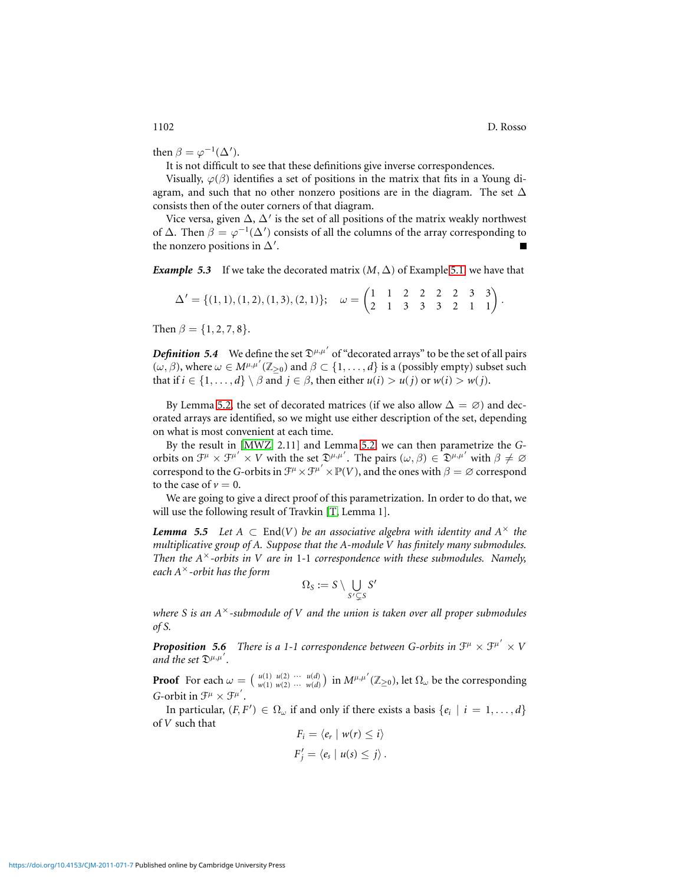then  $\beta = \varphi^{-1}(\Delta').$ 

It is not difficult to see that these definitions give inverse correspondences.

Visually,  $\varphi(\beta)$  identifies a set of positions in the matrix that fits in a Young diagram, and such that no other nonzero positions are in the diagram. The set  $\Delta$ consists then of the outer corners of that diagram.

Vice versa, given  $\Delta$ ,  $\Delta'$  is the set of all positions of the matrix weakly northwest of  $\Delta$ . Then  $\beta = \varphi^{-1}(\Delta')$  consists of all the columns of the array corresponding to the nonzero positions in  $\Delta'$ .

*Example 5.3* If we take the decorated matrix  $(M, \Delta)$  of Example [5.1,](#page-11-1) we have that

$$
\Delta' = \{(1,1), (1,2), (1,3), (2,1)\}; \quad \omega = \begin{pmatrix} 1 & 1 & 2 & 2 & 2 & 2 & 3 & 3 \\ 2 & 1 & 3 & 3 & 3 & 2 & 1 & 1 \end{pmatrix}.
$$

Then  $\beta = \{1, 2, 7, 8\}.$ 

<span id="page-12-1"></span>**Definition 5.4** We define the set  $\mathfrak{D}^{\mu,\mu'}$  of "decorated arrays" to be the set of all pairs  $(\omega, \beta)$ , where  $\omega \in M^{\mu,\mu'}(\mathbb{Z}_{\geq 0})$  and  $\beta \subset \{1, \dots, d\}$  is a (possibly empty) subset such that if  $i \in \{1, ..., d\} \setminus \beta$  and  $j \in \beta$ , then either  $u(i) > u(j)$  or  $w(i) > w(j)$ .

By Lemma [5.2,](#page-11-2) the set of decorated matrices (if we also allow  $\Delta = \emptyset$ ) and decorated arrays are identified, so we might use either description of the set, depending on what is most convenient at each time.

By the result in [\[MWZ,](#page-31-8) 2.11] and Lemma [5.2,](#page-11-2) we can then parametrize the *G*orbits on  $\mathcal{F}^{\mu} \times \mathcal{F}^{\mu'} \times V$  with the set  $\mathfrak{D}^{\mu,\mu'}$ . The pairs  $(\omega,\beta) \in \mathfrak{D}^{\mu,\mu'}$  with  $\beta \neq \emptyset$ correspond to the *G*-orbits in  $\mathcal{F}^{\mu} \times \mathcal{F}^{\mu'} \times \mathbb{P}(V)$ , and the ones with  $\beta = \varnothing$  correspond to the case of  $v = 0$ .

We are going to give a direct proof of this parametrization. In order to do that, we will use the following result of Travkin [\[T,](#page-31-7) Lemma 1].

<span id="page-12-2"></span>*Lemma 5.5 Let*  $A \subset End(V)$  *be an associative algebra with identity and*  $A^{\times}$  *the multiplicative group of A. Suppose that the A-module V has finitely many submodules. Then the A*<sup>×</sup>*-orbits in V are in* 1*-*1 *correspondence with these submodules. Namely, each A*<sup>×</sup>*-orbit has the form*

$$
\Omega_S:=S\setminus \bigcup_{S'\subsetneq S}S'
$$

*where S is an A*×*-submodule of V and the union is taken over all proper submodules of S.*

<span id="page-12-0"></span>**Proposition 5.6** There is a 1-1 correspondence between G-orbits in  $\mathcal{F}^{\mu} \times \mathcal{F}^{\mu'} \times V$ and the set  $\mathfrak{D}^{\mu,\mu'}$ .

**Proof** For each  $\omega = \begin{pmatrix} u(1) & u(2) & \cdots & u(d) \\ w(1) & w(2) & \cdots & w(d) \end{pmatrix}$  in  $M^{\mu,\mu'}(\mathbb{Z}_{\geq 0})$ , let  $\Omega_{\omega}$  be the corresponding *G*-orbit in  $\mathcal{F}^{\mu} \times \mathcal{F}^{\mu'}$ .

In particular,  $(F, F') \in \Omega_\omega$  if and only if there exists a basis  $\{e_i \mid i = 1, ..., d\}$ of *V* such that

$$
F_i = \langle e_r \mid w(r) \leq i \rangle
$$
  

$$
F'_j = \langle e_s \mid u(s) \leq j \rangle.
$$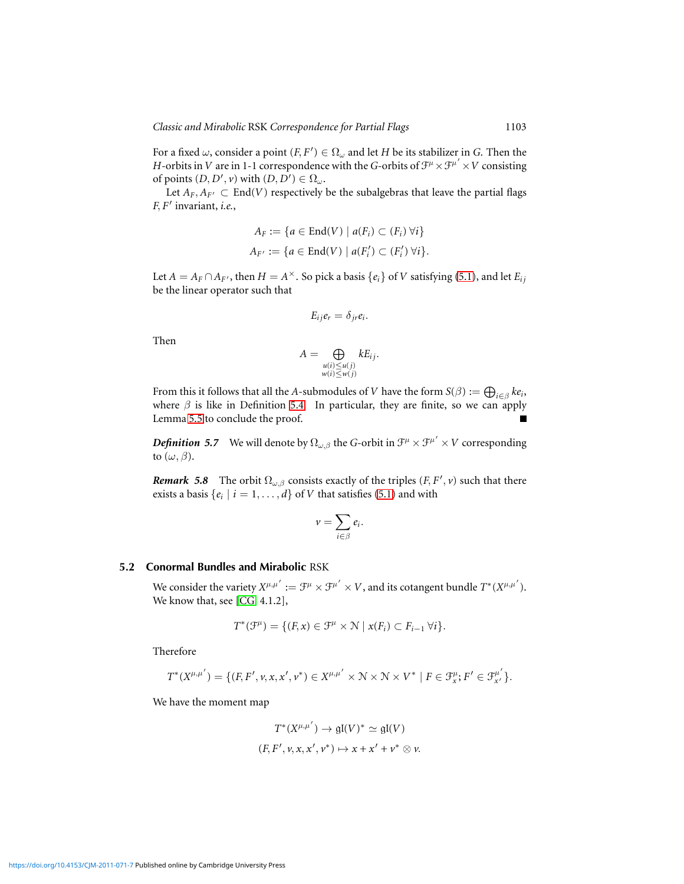For a fixed  $\omega$ , consider a point  $(F, F') \in \Omega_{\omega}$  and let *H* be its stabilizer in *G*. Then the *H*-orbits in *V* are in 1-1 correspondence with the *G*-orbits of  $\mathcal{F}^{\mu} \times \mathcal{F}^{\mu'} \times V$  consisting of points  $(D, D', \nu)$  with  $(D, D') \in \Omega_\omega$ .

Let  $A_F$ ,  $A_{F'} \subset End(V)$  respectively be the subalgebras that leave the partial flags *F*, *F* ′ invariant, *i.e.*,

$$
A_F := \{ a \in \text{End}(V) \mid a(F_i) \subset (F_i) \,\forall i \}
$$
  

$$
A_{F'} := \{ a \in \text{End}(V) \mid a(F'_i) \subset (F'_i) \,\forall i \}.
$$

Let  $A = A_F \cap A_{F}$ , then  $H = A^{\times}$ . So pick a basis  $\{e_i\}$  of  $V$  satisfying [\(5.1\)](#page-12-0), and let  $E_{ij}$ be the linear operator such that

$$
E_{ij}e_r=\delta_{jr}e_i.
$$

Then

$$
A = \bigoplus_{\substack{u(i) \le u(j) \\ w(i) \le w(j)}} k E_{ij}.
$$

From this it follows that all the *A*-submodules of *V* have the form  $S(\beta) := \bigoplus_{i \in \beta} k e_i$ , where  $\beta$  is like in Definition [5.4.](#page-12-1) In particular, they are finite, so we can apply Lemma [5.5](#page-12-2) to conclude the proof.

*Definition 5.7* We will denote by  $\Omega_{\omega,\beta}$  the *G*-orbit in  $\mathcal{F}^{\mu}\times\mathcal{F}^{\mu'}\times V$  corresponding to  $(\omega, \beta)$ .

*Remark* 5.8 The orbit  $\Omega_{\omega,\beta}$  consists exactly of the triples  $(F, F', v)$  such that there exists a basis  $\{e_i \mid i = 1, \ldots, d\}$  of *V* that satisfies [\(5.1\)](#page-12-0) and with

$$
v=\sum_{i\in\beta}e_i.
$$

## **5.2 Conormal Bundles and Mirabolic** RSK

We consider the variety  $X^{\mu,\mu'} := \mathcal{F}^{\mu} \times \mathcal{F}^{\mu'} \times V$ , and its cotangent bundle  $T^*(X^{\mu,\mu'}).$ We know that, see [\[CG,](#page-30-3) 4.1.2],

$$
T^*(\mathcal{F}^{\mu}) = \{ (F, x) \in \mathcal{F}^{\mu} \times \mathcal{N} \mid x(F_i) \subset F_{i-1} \,\forall i \}.
$$

Therefore

$$
T^*(X^{\mu,\mu'}) = \{(F,F',\nu,x,x',\nu^*) \in X^{\mu,\mu'} \times \mathcal{N} \times \mathcal{N} \times V^* \mid F \in \mathcal{F}_x^{\mu}; F' \in \mathcal{F}_{x'}^{\mu'}\}.
$$

We have the moment map

$$
T^*(X^{\mu,\mu'}) \to \mathfrak{gl}(V)^* \simeq \mathfrak{gl}(V)
$$
  

$$
(F, F', v, x, x', v^*) \mapsto x + x' + v^* \otimes v.
$$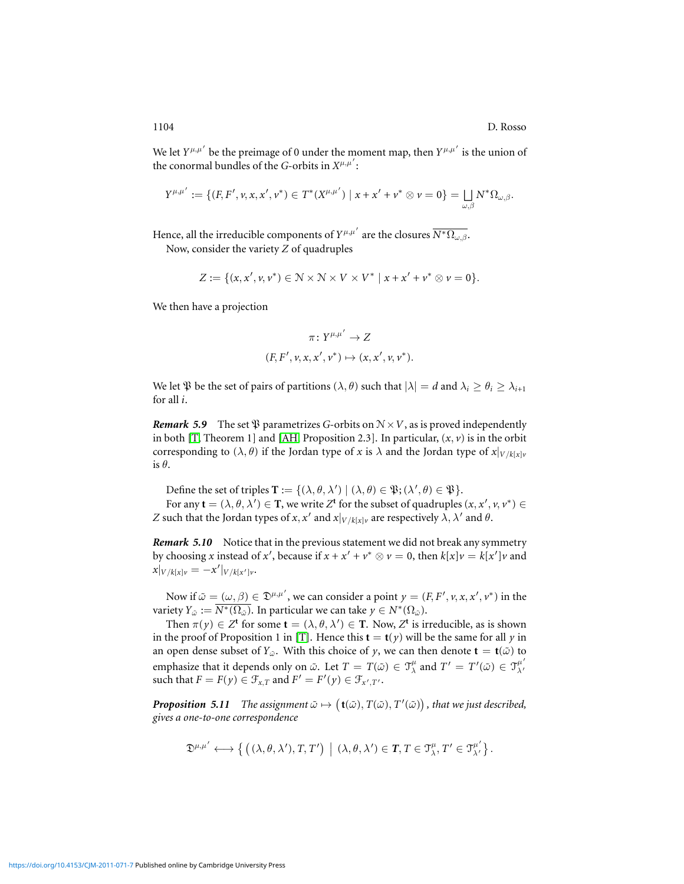We let  $Y^{\mu,\mu'}$  be the preimage of 0 under the moment map, then  $Y^{\mu,\mu'}$  is the union of the conormal bundles of the *G*-orbits in  $X^{\mu,\mu'}$ :

$$
Y^{\mu,\mu'}:=\{(F,F',\nu,x,x',\nu^*)\in T^*(X^{\mu,\mu'})\mid x+x'+\nu^*\otimes\nu=0\}=\bigsqcup_{\omega,\beta}N^*\Omega_{\omega,\beta}.
$$

Hence, all the irreducible components of  $Y^{\mu,\mu'}$  are the closures  $\overline{N^*\Omega_{\omega,\beta}}$ .

Now, consider the variety *Z* of quadruples

$$
Z := \{ (x, x', v, v^*) \in \mathbb{N} \times \mathbb{N} \times V \times V^* \mid x + x' + v^* \otimes v = 0 \}.
$$

We then have a projection

$$
\pi: Y^{\mu,\mu'} \to Z
$$
  
(F, F', v, x, x', v^\*)  $\mapsto$  (x, x', v, v^\*).

We let  $\mathfrak P$  be the set of pairs of partitions  $(\lambda, \theta)$  such that  $|\lambda| = d$  and  $\lambda_i \ge \theta_i \ge \lambda_{i+1}$ for all *i*.

*Remark* 5.9 The set  $\mathfrak{P}$  parametrizes *G*-orbits on  $N \times V$ , as is proved independently in both [\[T,](#page-31-7) Theorem 1] and [\[AH,](#page-30-4) Proposition 2.3]. In particular,  $(x, v)$  is in the orbit corresponding to  $(\lambda, \theta)$  if the Jordan type of *x* is  $\lambda$  and the Jordan type of  $x|_{V/k[x]v}$ is  $\theta$ .

Define the set of triples  $\mathbf{T} := \{(\lambda, \theta, \lambda') \mid (\lambda, \theta) \in \mathfrak{P}; (\lambda', \theta) \in \mathfrak{P}\}.$ 

For any  $\mathbf{t} = (\lambda, \theta, \lambda') \in \mathbf{T}$ , we write  $Z^{\mathbf{t}}$  for the subset of quadruples  $(x, x', v, v^*) \in$ *Z* such that the Jordan types of *x*, *x*<sup>'</sup> and  $x|_{V/k[x]v}$  are respectively  $\lambda$ ,  $\lambda$ <sup>'</sup> and  $\theta$ .

**Remark 5.10** Notice that in the previous statement we did not break any symmetry by choosing *x* instead of *x*<sup>'</sup>, because if  $x + x' + v^* \otimes v = 0$ , then  $k[x]v = k[x']v$  and  $x|_{V/k[x]v} = -x'|_{V/k[x']v}$ 

Now if  $\tilde{\omega} = (\omega, \beta) \in \mathfrak{D}^{\mu,\mu'}$ , we can consider a point  $y = (F, F', v, x, x', v^*)$  in the variety  $Y_{\tilde{\omega}} := \overline{N^*(\Omega_{\tilde{\omega}})}.$  In particular we can take  $y \in N^*(\Omega_{\tilde{\omega}}).$ 

Then  $\pi(y) \in Z^t$  for some  $\mathbf{t} = (\lambda, \theta, \lambda') \in \mathbf{T}$ . Now,  $Z^t$  is irreducible, as is shown in the proof of Proposition 1 in [\[T\]](#page-31-7). Hence this  $\mathbf{t} = \mathbf{t}(y)$  will be the same for all *y* in an open dense subset of  $Y_{\omega}$ . With this choice of *y*, we can then denote  $\mathbf{t} = \mathbf{t}(\tilde{\omega})$  to emphasize that it depends only on  $\tilde{\omega}$ . Let  $T = T(\tilde{\omega}) \in \mathcal{T}^{\mu}_{\lambda}$  and  $T' = T'(\tilde{\omega}) \in \mathcal{T}^{\mu'}_{\lambda'}$ λ′ such that  $F = F(y) \in \mathcal{F}_{x,T}$  and  $F' = F'(y) \in \mathcal{F}_{x',T'}$ .

<span id="page-14-0"></span>**Proposition 5.11** The assignment  $\tilde{\omega} \mapsto (\mathbf{t}(\tilde{\omega}), T(\tilde{\omega}), T'(\tilde{\omega}))$ , that we just described, *gives a one-to-one correspondence*

$$
\mathfrak{D}^{\mu,\mu'} \longleftrightarrow \left\{\, \left(\,(\lambda,\theta,\lambda'), T,T'\right)\,\big|\,\, (\lambda,\theta,\lambda') \in T,\, T \in \mathfrak{I}^\mu_\lambda,\, T' \in \mathfrak{I}^{\mu'}_{\lambda'}\right\}.
$$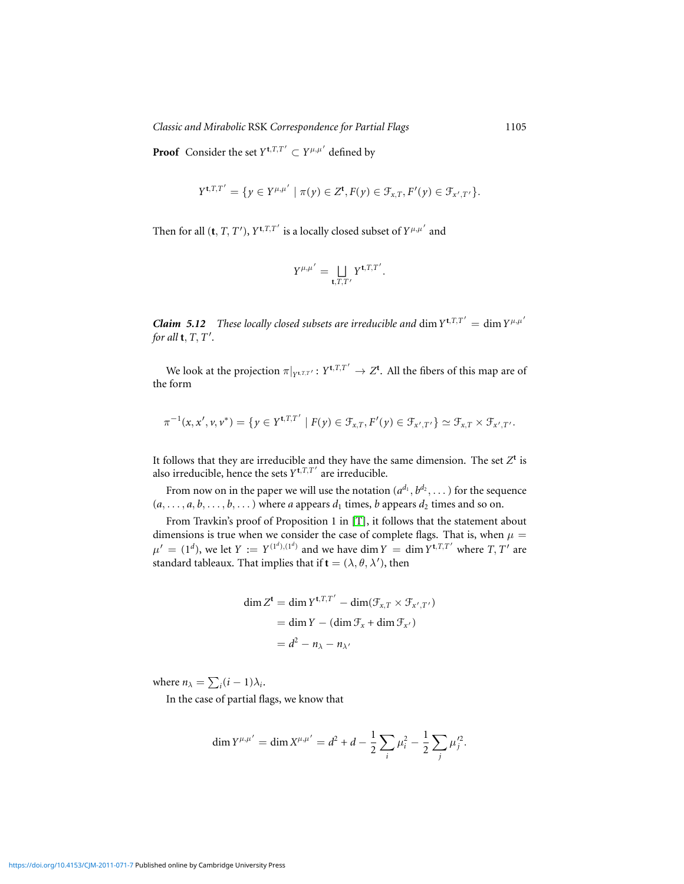*Classic and Mirabolic RSK Correspondence for Partial Flags* 1105

**Proof** Consider the set  $Y^{\mathbf{t},T,T'} \subset Y^{\mu,\mu'}$  defined by

$$
Y^{\mathbf{t},T,T'} = \{ y \in Y^{\mu,\mu'} \mid \pi(y) \in Z^{\mathbf{t}}, F(y) \in \mathcal{F}_{x,T}, F'(y) \in \mathcal{F}_{x',T'} \}.
$$

Then for all  $(\mathbf{t}, T, T')$ ,  $Y^{\mathbf{t}, T, T'}$  is a locally closed subset of  $Y^{\mu, \mu'}$  and

$$
Y^{\mu,\mu'} = \bigsqcup_{\mathbf{t},T,T'} Y^{\mathbf{t},T,T'}.
$$

*Claim 5.12 These locally closed subsets are irreducible and dim*  $Y^{t,T,T'} = \dim Y^{\mu,\mu'}$ *for all* **t**, *T*, *T* ′ *.*

We look at the projection  $\pi|_{Y^{\mathsf{t},T,T'}}: Y^{\mathsf{t},T,T'} \to Z^{\mathsf{t}}$ . All the fibers of this map are of the form

$$
\pi^{-1}(x,x',\nu,\nu^*)=\{y\in Y^{\mathbf t,T,T'}\mid F(y)\in\mathcal F_{x,T}, F'(y)\in\mathcal F_{x',T'}\}\simeq\mathcal F_{x,T}\times\mathcal F_{x',T'}.
$$

It follows that they are irreducible and they have the same dimension. The set  $Z<sup>t</sup>$  is also irreducible, hence the sets  $Y^{\mathbf{t},T,T'}$  are irreducible.

From now on in the paper we will use the notation  $(a^{d_1}, b^{d_2}, \dots)$  for the sequence  $(a, \ldots, a, b, \ldots, b, \ldots)$  where *a* appears  $d_1$  times, *b* appears  $d_2$  times and so on.

From Travkin's proof of Proposition 1 in [\[T\]](#page-31-7), it follows that the statement about dimensions is true when we consider the case of complete flags. That is, when  $\mu =$  $\mu' = (1^d)$ , we let  $Y := Y^{(1^d),(1^d)}$  and we have dim  $Y = \dim Y^{\mathbf{t},T,T'}$  where  $T, T'$  are standard tableaux. That implies that if  $\mathbf{t} = (\lambda, \theta, \lambda')$ , then

$$
\dim Z^{\mathbf{t}} = \dim Y^{\mathbf{t}, T, T'} - \dim(\mathcal{F}_{x, T} \times \mathcal{F}_{x', T'})
$$

$$
= \dim Y - (\dim \mathcal{F}_x + \dim \mathcal{F}_{x'})
$$

$$
= d^2 - n_{\lambda} - n_{\lambda'}
$$

where  $n_{\lambda} = \sum_i (i - 1)\lambda_i$ .

In the case of partial flags, we know that

$$
\dim Y^{\mu,\mu'} = \dim X^{\mu,\mu'} = d^2 + d - \frac{1}{2} \sum_i \mu_i^2 - \frac{1}{2} \sum_j \mu_j'^2.
$$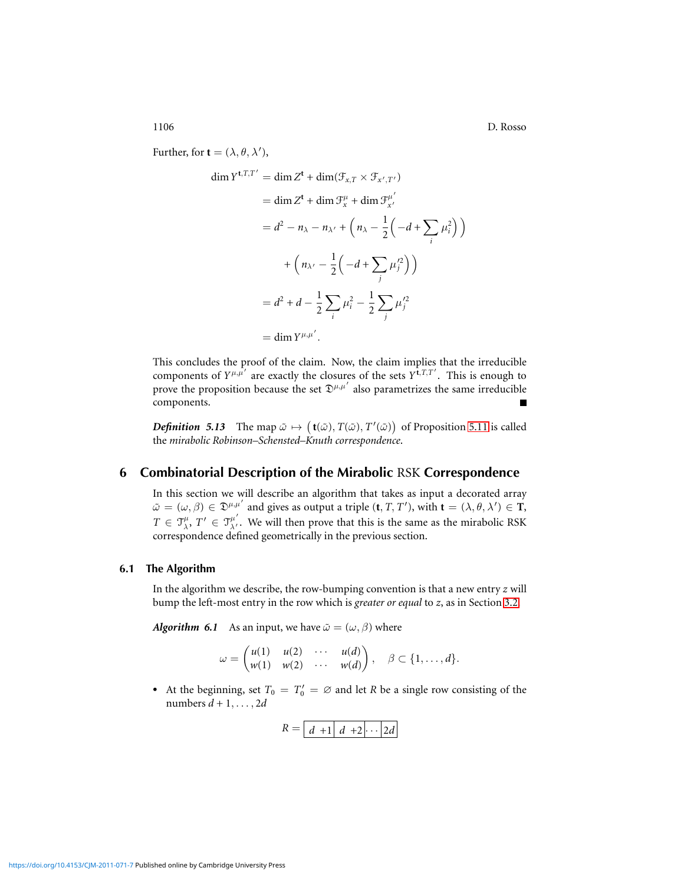1106 D. Rosso

Further, for **t** =  $(\lambda, \theta, \lambda')$ ,

$$
\dim Y^{t,T,T'} = \dim Z^t + \dim(\mathcal{F}_{x,T} \times \mathcal{F}_{x',T'})
$$
  
\n
$$
= \dim Z^t + \dim \mathcal{F}_x^{\mu} + \dim \mathcal{F}_{x'}^{\mu'}
$$
  
\n
$$
= d^2 - n_\lambda - n_{\lambda'} + \left(n_\lambda - \frac{1}{2}\left(-d + \sum_i \mu_i^2\right)\right)
$$
  
\n
$$
+ \left(n_{\lambda'} - \frac{1}{2}\left(-d + \sum_j \mu_j^2\right)\right)
$$
  
\n
$$
= d^2 + d - \frac{1}{2}\sum_i \mu_i^2 - \frac{1}{2}\sum_j \mu_j^2
$$
  
\n
$$
= \dim Y^{\mu,\mu'}.
$$

This concludes the proof of the claim. Now, the claim implies that the irreducible components of  $Y^{\mu,\mu'}$  are exactly the closures of the sets  $Y^{\mathbf{t},T,T'}$ . This is enough to prove the proposition because the set  $\mathfrak{D}^{\mu,\mu'}$  also parametrizes the same irreducible components.

<span id="page-16-0"></span>*Definition* 5.13 The map  $\tilde{\omega} \mapsto (\mathbf{t}(\tilde{\omega}), T(\tilde{\omega}), T'(\tilde{\omega}))$  of Proposition [5.11](#page-14-0) is called the *mirabolic Robinson–Schensted–Knuth correspondence*.

## **6 Combinatorial Description of the Mirabolic** RSK **Correspondence**

In this section we will describe an algorithm that takes as input a decorated array  $\tilde{\omega} = (\omega, \beta) \in \mathfrak{D}^{\mu, \mu'}$  and gives as output a triple  $(\mathbf{t}, T, T')$ , with  $\mathbf{t} = (\lambda, \theta, \lambda') \in \mathbf{T}$ ,  $T \in \mathcal{T}_{\lambda}^{\mu}, T' \in \mathcal{T}_{\lambda'}^{\mu'}$ . We will then prove that this is the same as the mirabolic RSK correspondence defined geometrically in the previous section.

## **6.1 The Algorithm**

In the algorithm we describe, the row-bumping convention is that a new entry *z* will bump the left-most entry in the row which is *greater or equal* to *z*, as in Section [3.2.](#page-6-1)

<span id="page-16-1"></span>*Algorithm 6.1* As an input, we have  $\tilde{\omega} = (\omega, \beta)$  where

$$
\omega = \begin{pmatrix} u(1) & u(2) & \cdots & u(d) \\ w(1) & w(2) & \cdots & w(d) \end{pmatrix}, \quad \beta \subset \{1, \ldots, d\}.
$$

• At the beginning, set  $T_0 = T'_0 = \emptyset$  and let *R* be a single row consisting of the numbers *d* + 1, . . . , 2*d*

$$
R = \boxed{d+1} \quad d+2 \cdots \boxed{2d}
$$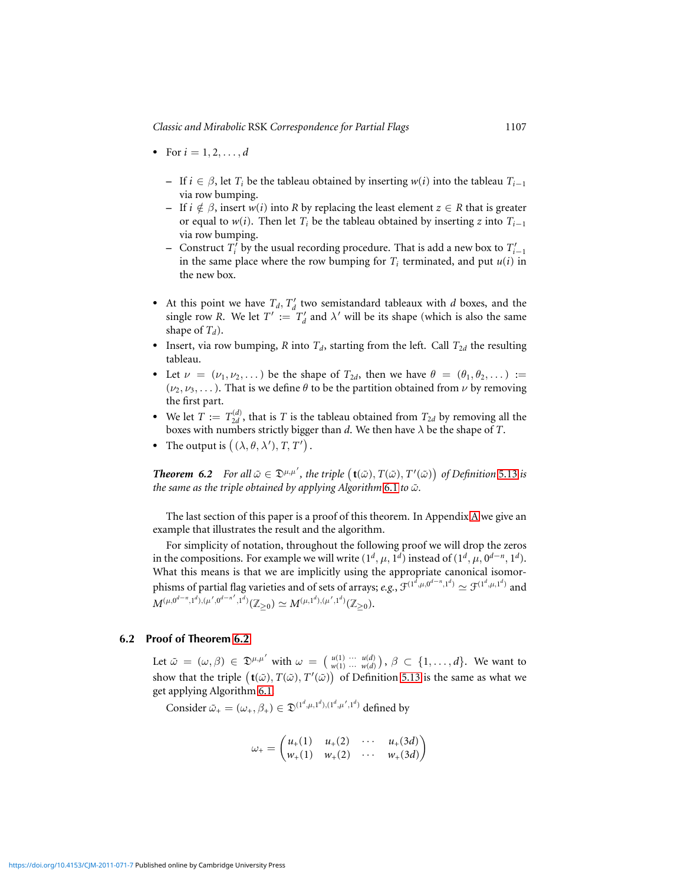- For  $i = 1, 2, ..., d$ 
	- $−$  If *i* ∈ β, let *T<sub>i</sub>* be the tableau obtained by inserting *w*(*i*) into the tableau *T*<sub>*i*−1</sub> via row bumping.
	- $−$  If *i*  $\notin \beta$ , insert *w*(*i*) into *R* by replacing the least element *z* ∈ *R* that is greater or equal to *w*(*i*). Then let  $T_i$  be the tableau obtained by inserting *z* into  $T_{i-1}$ via row bumping.
	- − Construct  $T'$ <sup>*i*</sup> by the usual recording procedure. That is add a new box to  $T'$ <sub>*i*−1</sub> in the same place where the row bumping for  $T_i$  terminated, and put  $u(i)$  in the new box.
- At this point we have  $T_d$ ,  $T'_d$  two semistandard tableaux with *d* boxes, and the single row *R*. We let  $T' := T_d'$  and  $\lambda'$  will be its shape (which is also the same shape of *Td*).
- Insert, via row bumping, *R* into  $T_d$ , starting from the left. Call  $T_{2d}$  the resulting tableau.
- Let  $\nu = (\nu_1, \nu_2, \dots)$  be the shape of  $T_{2d}$ , then we have  $\theta = (\theta_1, \theta_2, \dots) :=$  $(\nu_2, \nu_3, \dots)$ . That is we define  $\theta$  to be the partition obtained from  $\nu$  by removing the first part.
- We let  $T := T_{2d}^{(d)}$ , that is *T* is the tableau obtained from  $T_{2d}$  by removing all the boxes with numbers strictly bigger than *d*. We then have λ be the shape of *T*.
- The output is  $((\lambda, \theta, \lambda'), T, T')$ .

<span id="page-17-0"></span>*Theorem 6.2 For all*  $\tilde{\omega} \in \mathfrak{D}^{\mu,\mu'}$ , the triple  $(\mathbf{t}(\tilde{\omega}), T(\tilde{\omega}), T'(\tilde{\omega}))$  of Definition [5.13](#page-16-0) is *the same as the triple obtained by applying Algorithm* [6.1](#page-16-1) *to*  $\tilde{\omega}$ *.* 

The last section of this paper is a proof of this theorem. In Appendix [A](#page-28-0) we give an example that illustrates the result and the algorithm.

For simplicity of notation, throughout the following proof we will drop the zeros in the compositions. For example we will write  $(1^d, \mu, 1^d)$  instead of  $(1^d, \mu, 0^{d-n}, 1^d)$ . What this means is that we are implicitly using the appropriate canonical isomorphisms of partial flag varieties and of sets of arrays; *e.g.*,  $\mathcal{F}^{(1^{\bar{d}}, \mu, 0^{d-n}, 1^d)} \simeq \mathcal{F}^{(1^d, \mu, 1^d)}$  and  $M^{(\mu,0^{d-n},1^d),(\mu',0^{d-n'},1^d)}(\mathbb{Z}_{\geq 0}) \simeq M^{(\mu,1^d),(\mu',1^d)}(\mathbb{Z}_{\geq 0}).$ 

#### **6.2 Proof of Theorem [6.2](#page-17-0)**

Let  $\tilde{\omega} = (\omega, \beta) \in \mathfrak{D}^{\mu, \mu'}$  with  $\omega = (\begin{array}{cccc} u(1) & \cdots & u(d) \\ w(1) & \cdots & w(d) \end{array}), \beta \subset \{1, \ldots, d\}$ . We want to show that the triple  $({\bf t}(\tilde{\omega}), T(\tilde{\omega}), T'(\tilde{\omega})$  of Definition [5.13](#page-16-0) is the same as what we get applying Algorithm [6.1.](#page-16-1)

Consider  $\tilde{\omega}_+ = (\omega_+, \beta_+) \in \mathfrak{D}^{(1^d, \mu, 1^d), (1^d, \mu', 1^d)}$  defined by

$$
\omega_{+} = \begin{pmatrix} u_{+}(1) & u_{+}(2) & \cdots & u_{+}(3d) \\ w_{+}(1) & w_{+}(2) & \cdots & w_{+}(3d) \end{pmatrix}
$$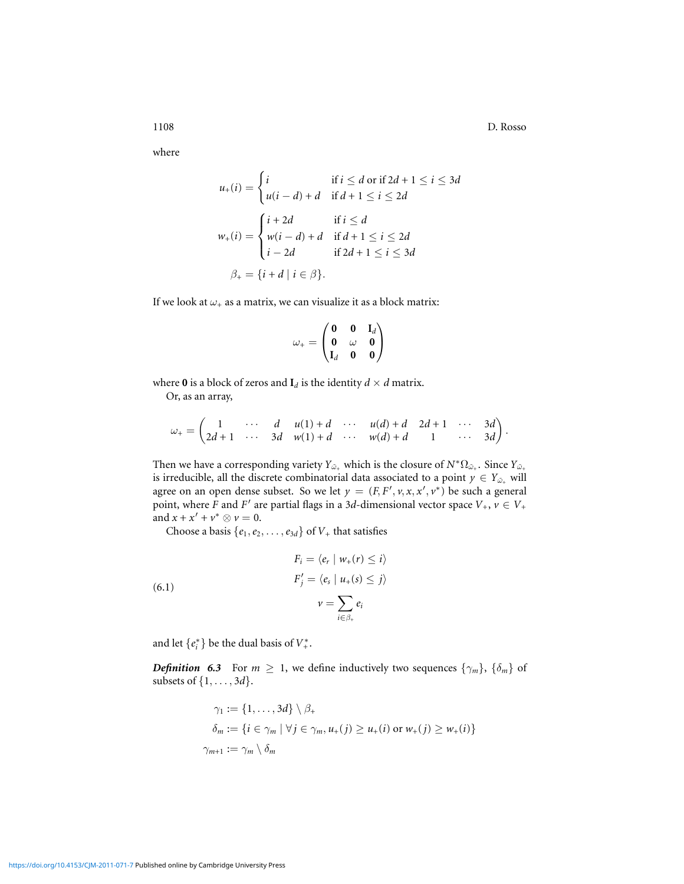1108 D. Rosso

where

$$
u_{+}(i) = \begin{cases} i & \text{if } i \leq d \text{ or if } 2d + 1 \leq i \leq 3d \\ u(i - d) + d & \text{if } d + 1 \leq i \leq 2d \end{cases}
$$

$$
w_{+}(i) = \begin{cases} i + 2d & \text{if } i \leq d \\ w(i - d) + d & \text{if } d + 1 \leq i \leq 2d \\ i - 2d & \text{if } 2d + 1 \leq i \leq 3d \end{cases}
$$

$$
\beta_{+} = \{i + d \mid i \in \beta\}.
$$

If we look at  $\omega_+$  as a matrix, we can visualize it as a block matrix:

$$
\omega_+ = \begin{pmatrix} \mathbf{0} & \mathbf{0} & \mathbf{I}_d \\ \mathbf{0} & \omega & \mathbf{0} \\ \mathbf{I}_d & \mathbf{0} & \mathbf{0} \end{pmatrix}
$$

where **0** is a block of zeros and  $I_d$  is the identity  $d \times d$  matrix.

Or, as an array,

$$
\omega_+ = \begin{pmatrix} 1 & \cdots & d & u(1) + d & \cdots & u(d) + d & 2d + 1 & \cdots & 3d \\ 2d + 1 & \cdots & 3d & w(1) + d & \cdots & w(d) + d & 1 & \cdots & 3d \end{pmatrix}.
$$

Then we have a corresponding variety  $Y_{\tilde{\omega}_+}$  which is the closure of  $N^*\Omega_{\tilde{\omega}_+}$ . Since  $Y_{\tilde{\omega}_+}$ is irreducible, all the discrete combinatorial data associated to a point  $y \in Y_{\tilde{\omega}_+}$  will agree on an open dense subset. So we let  $y = (F, F', v, x, x', v^*)$  be such a general point, where *F* and *F*<sup> $\prime$ </sup> are partial flags in a 3*d*-dimensional vector space  $V_+$ ,  $v \in V_+$ and  $x + x' + v^* \otimes v = 0$ .

Choose a basis  $\{e_1, e_2, \ldots, e_{3d}\}$  of  $V_+$  that satisfies

<span id="page-18-0"></span>(6.1)  
\n
$$
F_i = \langle e_r | w_+(r) \leq i \rangle
$$
\n
$$
F'_j = \langle e_s | u_+(s) \leq j \rangle
$$
\n
$$
v = \sum_{i \in \beta_+} e_i
$$

and let  $\{e_i^*\}$  be the dual basis of  $V_+^*$ .

*Definition 6.3* For  $m \geq 1$ , we define inductively two sequences  $\{\gamma_m\}$ ,  $\{\delta_m\}$  of subsets of {1, . . . , 3*d*}.

$$
\gamma_1 := \{1, \ldots, 3d\} \setminus \beta_+ \n\delta_m := \{i \in \gamma_m \mid \forall j \in \gamma_m, u_+(j) \ge u_+(i) \text{ or } w_+(j) \ge w_+(i)\}\n\\
\gamma_{m+1} := \gamma_m \setminus \delta_m
$$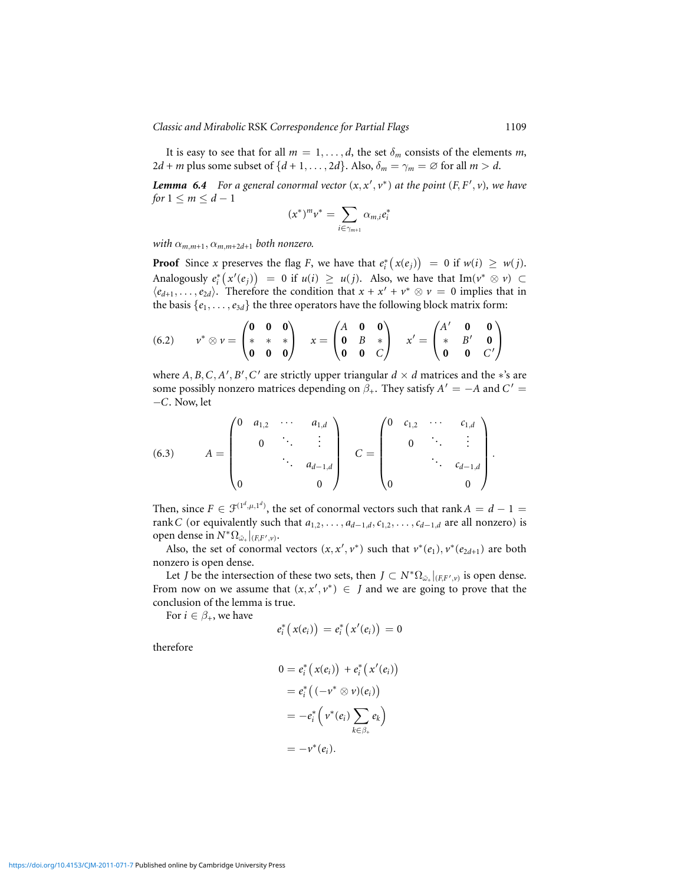It is easy to see that for all  $m = 1, \ldots, d$ , the set  $\delta_m$  consists of the elements m,  $2d + m$  plus some subset of  $\{d + 1, \ldots, 2d\}$ . Also,  $\delta_m = \gamma_m = \emptyset$  for all  $m > d$ .

<span id="page-19-0"></span>*Lemma 6.4* For a general conormal vector  $(x, x', v^*)$  at the point  $(F, F', v)$ , we have *for*  $1 \leq m \leq d-1$ 

$$
(x^*)^m v^* = \sum_{i \in \gamma_{m+1}} \alpha_{m,i} e_i^*
$$

*with*  $\alpha_{m,m+1}, \alpha_{m,m+2d+1}$  *both nonzero.* 

**Proof** Since *x* preserves the flag *F*, we have that  $e_i^*(x(e_j)) = 0$  if  $w(i) \geq w(j)$ . Analogously  $e_i^*(x'(e_j)) = 0$  if  $u(i) \ge u(j)$ . Also, we have that Im( $v^* \otimes v$ ) ⊂  $\langle e_{d+1}, \ldots, e_{2d} \rangle$ . Therefore the condition that  $x + x' + v^* \otimes v = 0$  implies that in the basis  $\{e_1, \ldots, e_{3d}\}$  the three operators have the following block matrix form:

<span id="page-19-1"></span>(6.2) 
$$
v^* \otimes v = \begin{pmatrix} 0 & 0 & 0 \\ * & * & * \\ 0 & 0 & 0 \end{pmatrix}
$$
  $x = \begin{pmatrix} A & 0 & 0 \\ 0 & B & * \\ 0 & 0 & C \end{pmatrix}$   $x' = \begin{pmatrix} A' & 0 & 0 \\ * & B' & 0 \\ 0 & 0 & C' \end{pmatrix}$ 

where  $A, B, C, A', B', C'$  are strictly upper triangular  $d \times d$  matrices and the  $*$ 's are some possibly nonzero matrices depending on  $\beta_+$ . They satisfy  $A' = -A$  and  $C' =$ −*C*. Now, let

<span id="page-19-2"></span>(6.3) 
$$
A = \begin{pmatrix} 0 & a_{1,2} & \cdots & a_{1,d} \\ & 0 & \ddots & \vdots \\ & & \ddots & a_{d-1,d} \\ 0 & & & 0 \end{pmatrix} \quad C = \begin{pmatrix} 0 & c_{1,2} & \cdots & c_{1,d} \\ & 0 & \ddots & \vdots \\ & & \ddots & c_{d-1,d} \\ 0 & & & 0 \end{pmatrix}.
$$

Then, since  $F \in \mathcal{F}^{(1^d,\mu,1^d)}$ , the set of conormal vectors such that rank  $A = d - 1 =$ rank *C* (or equivalently such that  $a_{1,2}, \ldots, a_{d-1,d}, c_{1,2}, \ldots, c_{d-1,d}$  are all nonzero) is open dense in  $N^* \Omega_{\tilde{\omega}_+}|_{(F,F',\nu)}$ .

Also, the set of conormal vectors  $(x, x', v^*)$  such that  $v^*(e_1), v^*(e_{2d+1})$  are both nonzero is open dense.

Let *J* be the intersection of these two sets, then  $J \subset N^* \Omega_{\bar{\omega}_+}|_{(F,F',\nu)}$  is open dense. From now on we assume that  $(x, x', v^*) \in J$  and we are going to prove that the conclusion of the lemma is true.

For  $i \in \beta_+$ , we have

$$
e_i^*\big(x(e_i)\big) = e_i^*\big(x'(e_i)\big) = 0
$$

therefore

$$
0 = e_i^* (x(e_i)) + e_i^* (x'(e_i))
$$
  
=  $e_i^* ((-v^* \otimes v)(e_i))$   
=  $-e_i^* (v^*(e_i) \sum_{k \in \beta_+} e_k)$   
=  $-v^*(e_i)$ .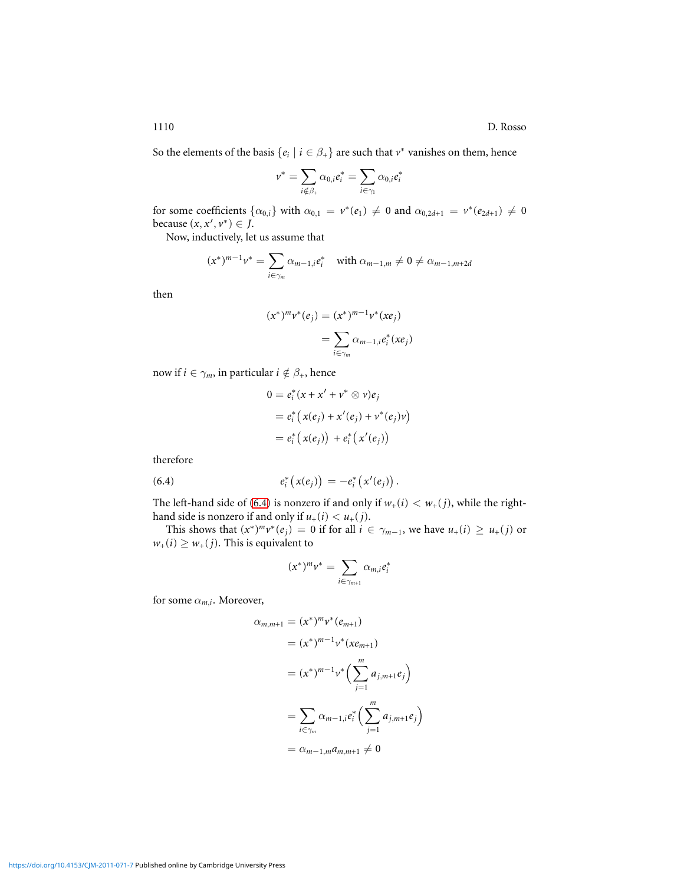1110 D. Rosso

So the elements of the basis  $\{e_i \mid i \in \beta_+\}$  are such that  $v^*$  vanishes on them, hence

$$
\nu^*=\sum_{i\notin\beta_+}\alpha_{0,i}e_i^*=\sum_{i\in\gamma_1}\alpha_{0,i}e_i^*
$$

for some coefficients  $\{\alpha_{0,i}\}\$  with  $\alpha_{0,1} = v^*(e_1) \neq 0$  and  $\alpha_{0,2d+1} = v^*(e_{2d+1}) \neq 0$ because  $(x, x', v^*) \in J$ .

Now, inductively, let us assume that

$$
(x^*)^{m-1}v^* = \sum_{i \in \gamma_m} \alpha_{m-1,i}e_i^* \quad \text{with } \alpha_{m-1,m} \neq 0 \neq \alpha_{m-1,m+2d}
$$

then

$$
(x^*)^m v^*(e_j) = (x^*)^{m-1} v^*(xe_j)
$$
  
= 
$$
\sum_{i \in \gamma_m} \alpha_{m-1,i} e_i^*(xe_j)
$$

now if  $i \in \gamma_m$ , in particular  $i \notin \beta_+$ , hence

$$
0 = e_i^* (x + x' + v^* \otimes v) e_j
$$
  
=  $e_i^* (x(e_j) + x'(e_j) + v^*(e_j)v)$   
=  $e_i^* (x(e_j)) + e_i^* (x'(e_j))$ 

therefore

<span id="page-20-0"></span>(6.4) 
$$
e_i^*\big(x(e_j)\big) = -e_i^*\big(x'(e_j)\big).
$$

The left-hand side of [\(6.4\)](#page-20-0) is nonzero if and only if  $w_+(i) < w_+(j)$ , while the righthand side is nonzero if and only if  $u_+(i) < u_+(j)$ .

This shows that  $(x^*)^m v^*(e_j) = 0$  if for all  $i \in \gamma_{m-1}$ , we have  $u_+(i) \ge u_+(j)$  or  $w_+(i) \geq w_+(j)$ . This is equivalent to

$$
(x^*)^m v^* = \sum_{i \in \gamma_{m+1}} \alpha_{m,i} e_i^*
$$

for some  $\alpha_{m,i}$ . Moreover,

$$
\alpha_{m,m+1} = (x^*)^m v^* (e_{m+1})
$$
  
=  $(x^*)^{m-1} v^* (xe_{m+1})$   
=  $(x^*)^{m-1} v^* \Big( \sum_{j=1}^m a_{j,m+1} e_j \Big)$   
=  $\sum_{i \in \gamma_m} \alpha_{m-1,i} e_i^* \Big( \sum_{j=1}^m a_{j,m+1} e_j \Big)$   
=  $\alpha_{m-1,m} a_{m,m+1} \neq 0$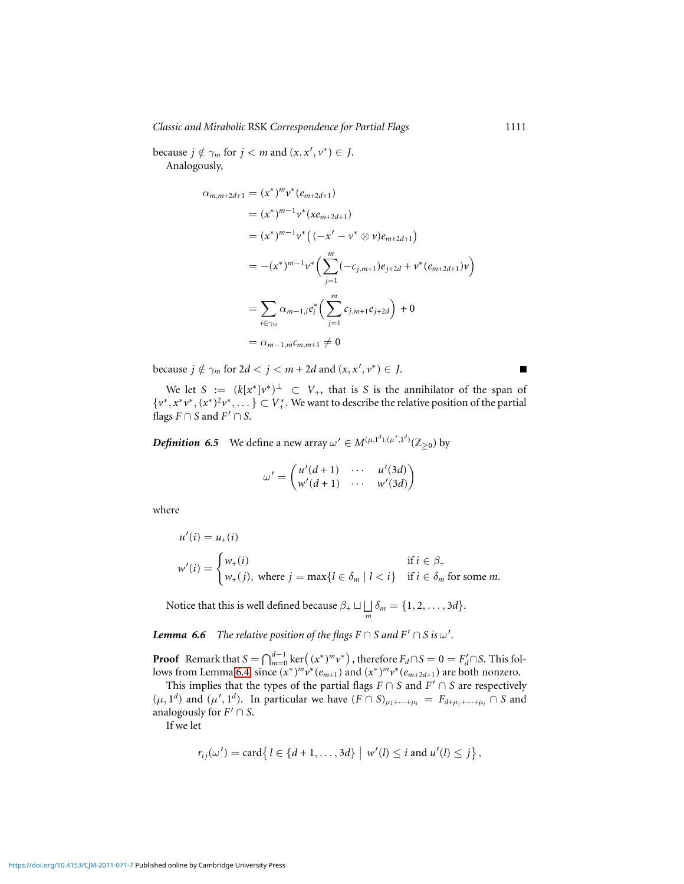*Classic and Mirabolic* RSK *Correspondence for Partial Flags* 1111

because  $j \notin \gamma_m$  for  $j < m$  and  $(x, x', v^*) \in J$ . Analogously,

$$
\alpha_{m,m+2d+1} = (x^*)^m v^* (e_{m+2d+1})
$$
  
\n
$$
= (x^*)^{m-1} v^* (xe_{m+2d+1})
$$
  
\n
$$
= (x^*)^{m-1} v^* ((-x' - v^* \otimes v)e_{m+2d+1})
$$
  
\n
$$
= -(x^*)^{m-1} v^* \Big( \sum_{j=1}^m (-c_{j,m+1})e_{j+2d} + v^* (e_{m+2d+1})v \Big)
$$
  
\n
$$
= \sum_{i \in \gamma_m} \alpha_{m-1,i} e_i^* \Big( \sum_{j=1}^m c_{j,m+1} e_{j+2d} \Big) + 0
$$
  
\n
$$
= \alpha_{m-1,m} c_{m,m+1} \neq 0
$$

because  $j \notin \gamma_m$  for  $2d < j < m + 2d$  and  $(x, x', v^*) \in J$ .

We let  $S := (k[x^*]v^*)^{\perp} \subset V_+$ , that is *S* is the annihilator of the span of  $\{v^*, x^*v^*, (x^*)^2v^*, \dots\} \subset V^*_+$ . We want to describe the relative position of the partial flags  $F \cap S$  and  $F' \cap S$ .

*Definition* 6.5 We define a new array  $\omega' \in M^{(\mu,1^d),(\mu',1^d)}(\mathbb{Z}_{\geq 0})$  by

$$
\omega' = \begin{pmatrix} u'(d+1) & \cdots & u'(3d) \\ w'(d+1) & \cdots & w'(3d) \end{pmatrix}
$$

where

$$
u'(i) = u_{+}(i)
$$
  

$$
w'(i) = \begin{cases} w_{+}(i) & \text{if } i \in \beta_{+} \\ w_{+}(j), \text{ where } j = \max\{l \in \delta_{m} \mid l < i\} & \text{if } i \in \delta_{m} \text{ for some } m. \end{cases}
$$

Notice that this is well defined because  $\beta_+ \sqcup \bigsqcup$  $\int_{m} \delta_{m} = \{1, 2, \ldots, 3d\}.$ 

<span id="page-21-0"></span>*Lemma 6.6 The relative position of the flags*  $F \cap S$  *and*  $F' \cap S$  *is*  $\omega'$ *.* 

**Proof** Remark that  $S = \bigcap_{m=0}^{d-1} \ker((x^*)^m v^*)$ , therefore  $F_d \cap S = 0 = F'_d \cap S$ . This fol-lows from Lemma [6.4,](#page-19-0) since  $(x^*)^m v^* (e_{m+1})$  and  $(x^*)^m v^* (e_{m+2d+1})$  are both nonzero.

This implies that the types of the partial flags  $F \cap S$  and  $F' \cap S$  are respectively  $(\mu, 1^d)$  and  $(\mu', 1^d)$ . In particular we have  $(F \cap S)_{\mu_1 + \cdots + \mu_i} = F_{d + \mu_1 + \cdots + \mu_i} \cap S$  and analogously for  $F' \cap S$ .

If we let

$$
r_{ij}(\omega') = \text{card} \{ l \in \{d+1,\ldots,3d\} \mid w'(l) \leq i \text{ and } u'(l) \leq j \},
$$

<https://doi.org/10.4153/CJM-2011-071-7>Published online by Cambridge University Press

 $\blacksquare$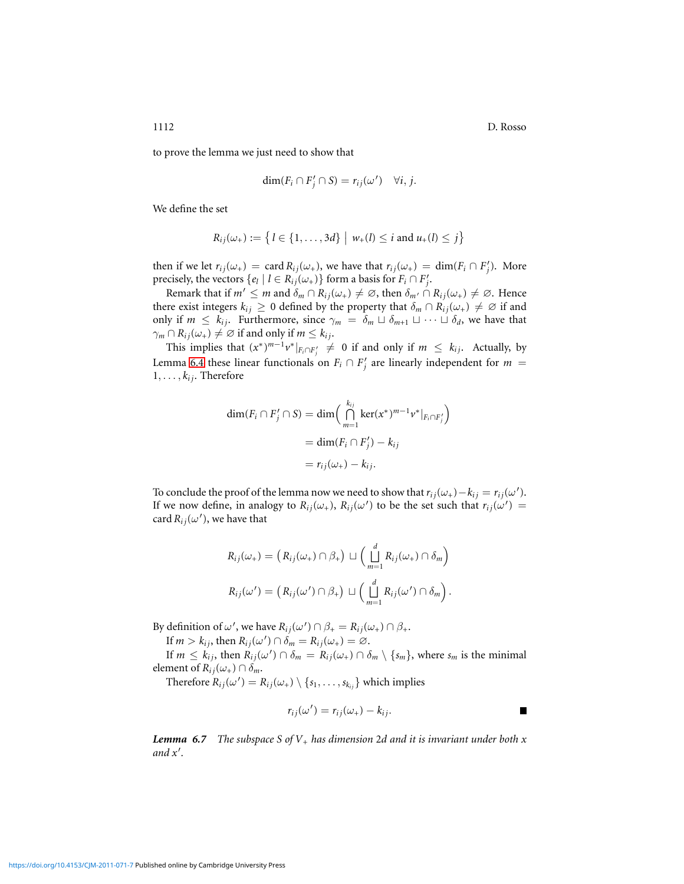1112 D. Rosso

to prove the lemma we just need to show that

$$
\dim(F_i \cap F'_j \cap S) = r_{ij}(\omega') \quad \forall i, j.
$$

We define the set

$$
R_{ij}(\omega_+) := \left\{ l \in \{1, \ldots, 3d\} \mid w_+(l) \leq i \text{ and } u_+(l) \leq j \right\}
$$

then if we let  $r_{ij}(\omega_+) = \text{card } R_{ij}(\omega_+)$ , we have that  $r_{ij}(\omega_+) = \dim(F_i \cap F'_j)$ . More precisely, the vectors  $\{e_l \mid l \in R_{ij}(\omega_+) \}$  form a basis for  $F_i \cap F'_j$ .

Remark that if  $m' \leq m$  and  $\delta_m \cap R_{ij}(\omega_+) \neq \emptyset$ , then  $\delta_{m'} \cap R_{ij}(\omega_+) \neq \emptyset$ . Hence there exist integers  $k_{ij} \geq 0$  defined by the property that  $\delta_m \cap R_{ij}(\omega_+) \neq \emptyset$  if and only if  $m \leq k_{ij}$ . Furthermore, since  $\gamma_m = \delta_m \sqcup \delta_{m+1} \sqcup \cdots \sqcup \delta_d$ , we have that  $\gamma_m \cap R_{ij}(\omega_+) \neq \emptyset$  if and only if  $m \leq k_{ij}$ .

This implies that  $(x^*)^{m-1}v^*|_{F_i \cap F'_i} \neq 0$  if and only if  $m \leq k_{ij}$ . Actually, by Lemma [6.4](#page-19-0) these linear functionals on  $F_i \cap F'_j$  are linearly independent for  $m =$  $1, \ldots, k_{ij}$ . Therefore

$$
\dim(F_i \cap F'_j \cap S) = \dim\left(\bigcap_{m=1}^{k_{ij}} \ker(x^*)^{m-1} v^*|_{F_i \cap F'_j}\right)
$$

$$
= \dim(F_i \cap F'_j) - k_{ij}
$$

$$
= r_{ij}(\omega_+) - k_{ij}.
$$

To conclude the proof of the lemma now we need to show that  $r_{ij}(\omega_+) - k_{ij} = r_{ij}(\omega').$ If we now define, in analogy to  $R_{ij}(\omega_+)$ ,  $R_{ij}(\omega')$  to be the set such that  $r_{ij}(\omega') =$ card  $R_{ij}(\omega')$ , we have that

$$
R_{ij}(\omega_+) = (R_{ij}(\omega_+) \cap \beta_+) \sqcup \left(\bigsqcup_{m=1}^d R_{ij}(\omega_+) \cap \delta_m\right)
$$
  

$$
R_{ij}(\omega') = (R_{ij}(\omega') \cap \beta_+) \sqcup \left(\bigsqcup_{m=1}^d R_{ij}(\omega') \cap \delta_m\right).
$$

By definition of  $\omega'$ , we have  $R_{ij}(\omega') \cap \beta_+ = R_{ij}(\omega_+) \cap \beta_+$ .

If  $m > k_{ij}$ , then  $R_{ij}(\omega') \cap \delta_m = R_{ij}(\omega_+) = \emptyset$ .

If  $m \leq k_{ij}$ , then  $R_{ij}(\omega') \cap \delta_m = R_{ij}(\omega_+) \cap \delta_m \setminus \{s_m\}$ , where  $s_m$  is the minimal element of  $R_{ij}(\omega_+) \cap \delta_m$ .

Therefore  $R_{ij}(\omega') = R_{ij}(\omega_+) \setminus \{s_1, \ldots, s_{k_{ij}}\}$  which implies

$$
r_{ij}(\omega') = r_{ij}(\omega_+) - k_{ij}.
$$

*Lemma 6.7 The subspace S of V*<sup>+</sup> *has dimension* 2*d and it is invariant under both x and x*′ *.*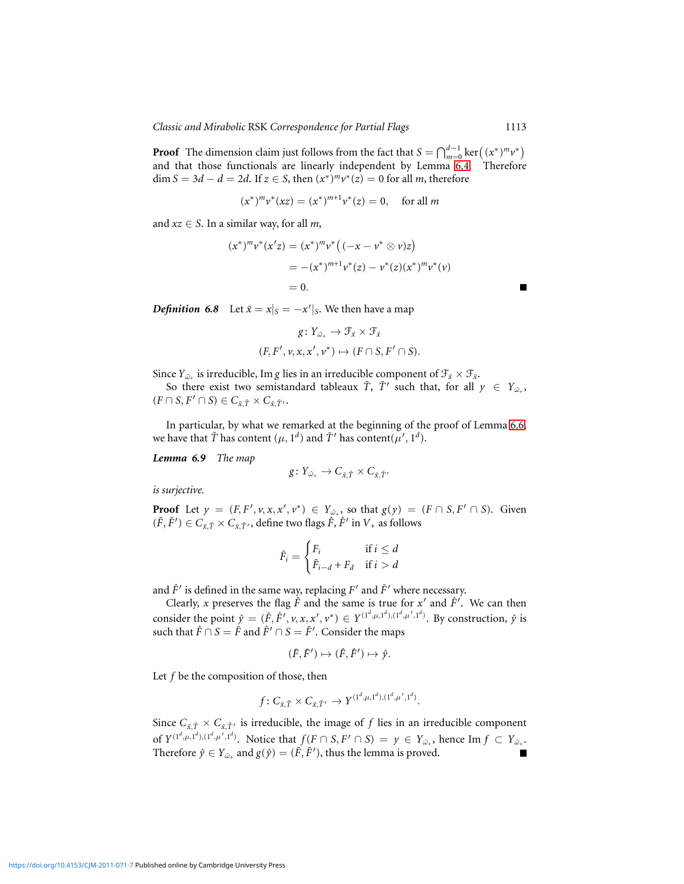**Proof** The dimension claim just follows from the fact that  $S = \bigcap_{m=0}^{d-1} \ker((x^*)^m v^*)$ and that those functionals are linearly independent by Lemma [6.4.](#page-19-0) Therefore  $\dim S = 3d - d = 2d$ . If  $z \in S$ , then  $(x^*)^m v^*(z) = 0$  for all *m*, therefore

$$
(x^*)^m v^*(xz) = (x^*)^{m+1} v^*(z) = 0, \text{ for all } m
$$

and  $xz \in S$ . In a similar way, for all *m*,

$$
(x^*)^m v^* (x'z) = (x^*)^m v^* ((-x - v^* \otimes v)z)
$$
  
= -(x^\*)^{m+1} v^\* (z) - v^\* (z) (x^\*)^m v^\* (v)  
= 0.

<span id="page-23-1"></span>*Definition* 6.8 Let  $\bar{x} = x|_{S} = -x'|_{S}$ . We then have a map

$$
g\colon Y_{\tilde{\omega}_+} \to \mathcal{F}_{\tilde{x}} \times \mathcal{F}_{\tilde{x}}
$$

$$
(F, F', \nu, x, x', \nu^*) \mapsto (F \cap S, F' \cap S).
$$

Since  $Y_{\bar{\omega}_+}$  is irreducible, Im *g* lies in an irreducible component of  $\mathcal{F}_{\bar{x}} \times \mathcal{F}_{\bar{x}}$ .

So there exist two semistandard tableaux  $\bar{T}$ ,  $\bar{T}'$  such that, for all  $y \in Y_{\bar{\omega}_+}$ ,  $(F \cap S, F' \cap S) \in C_{\bar{x}, \bar{T}} \times C_{\bar{x}, \bar{T}'}$ .

In particular, by what we remarked at the beginning of the proof of Lemma [6.6,](#page-21-0) we have that  $\bar{T}$  has content  $(\mu, 1^d)$  and  $\bar{T}'$  has content $(\mu', 1^d)$ .

<span id="page-23-0"></span>*Lemma 6.9 The map*

$$
g\colon Y_{\tilde{\omega}_+}\to C_{\tilde{x},\tilde{T}}\times C_{\tilde{x},\tilde{T}'}
$$

*is surjective.*

**Proof** Let  $y = (F, F', v, x, x', v^*) \in Y_{\tilde{\omega}_+}$ , so that  $g(y) = (F \cap S, F' \cap S)$ . Given  $(\bar{F}, \bar{F}') \in C_{\bar{x}, \bar{T}} \times C_{\bar{x}, \bar{T}'},$  define two flags  $\hat{F}, \hat{F}'$  in  $V_+$  as follows

$$
\hat{F}_i = \begin{cases} F_i & \text{if } i \le d \\ \bar{F}_{i-d} + F_d & \text{if } i > d \end{cases}
$$

and  $\hat{F}'$  is defined in the same way, replacing  $F'$  and  $\bar{F}'$  where necessary.

Clearly, *x* preserves the flag  $\hat{F}$  and the same is true for  $x'$  and  $\hat{F}'$ . We can then consider the point  $\hat{y} = (\hat{F}, \hat{F}', v, x, x', v^*) \in Y^{(1^d, \mu, 1^d), (1^d, \mu', 1^d)}$ . By construction,  $\hat{y}$  is such that  $\hat{F} \cap S = \bar{F}$  and  $\hat{F}' \cap S = \bar{F}'$ . Consider the maps

$$
(\bar{F}, \bar{F}') \mapsto (\hat{F}, \hat{F}') \mapsto \hat{\mathbf{y}}.
$$

Let *f* be the composition of those, then

$$
f: C_{\bar{x}, \bar{T}} \times C_{\bar{x}, \bar{T}'} \to Y^{(1^d, \mu, 1^d), (1^d, \mu', 1^d)}.
$$

Since  $C_{\bar{x}, \bar{T}} \times C_{\bar{x}, \bar{T}'}$  is irreducible, the image of f lies in an irreducible component of  $Y^{(1^d,\mu,1^d),(1^d,\mu',1^d)}$ . Notice that  $f(F \cap S, F' \cap S) = y \in Y_{\tilde{\omega}_+}$ , hence Im  $f \subset Y_{\tilde{\omega}_+}$ . Therefore  $\hat{y} \in Y_{\omega_+}$  and  $g(\hat{y}) = (\bar{F}, \bar{F}')$ , thus the lemma is proved.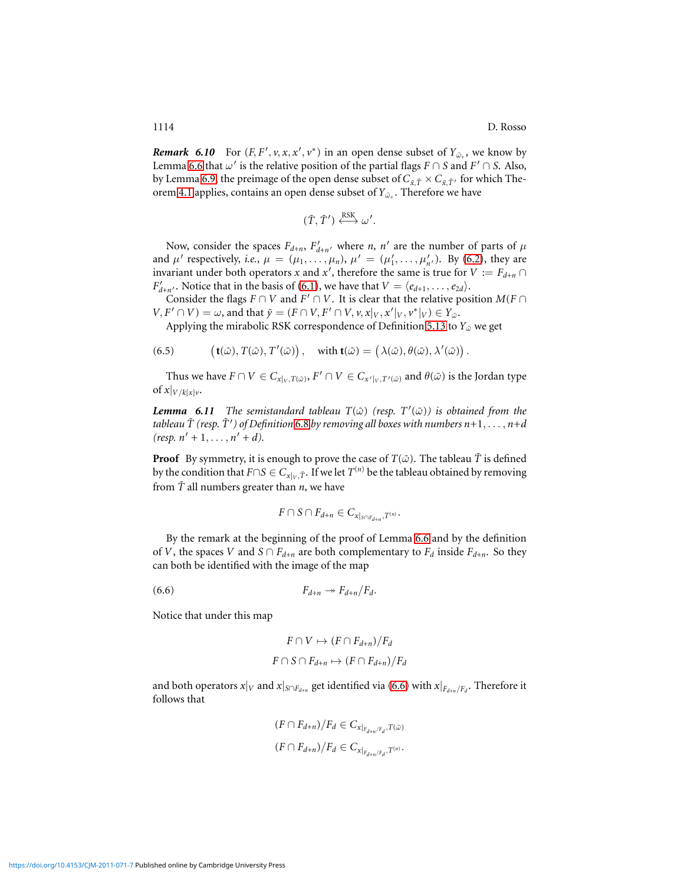*Remark* 6.10 For  $(F, F', v, x, x', v^*)$  in an open dense subset of  $Y_{\tilde{\omega}_+}$ , we know by Lemma [6.6](#page-21-0) that  $\omega'$  is the relative position of the partial flags  $F \cap S$  and  $F' \cap S$ . Also, by Lemma [6.9,](#page-23-0) the preimage of the open dense subset of  $C_{\bar{x}, \bar{T}} \times C_{\bar{x}, \bar{T}'}$  for which The-orem [4.1](#page-9-0) applies, contains an open dense subset of  $Y_{\tilde{\omega}_+}$ . Therefore we have

$$
(\bar{T},\bar{T}') \stackrel{\text{RSK}}{\longleftrightarrow} \omega'.
$$

Now, consider the spaces  $F_{d+n}$ ,  $F'_{d+n'}$  where *n*, *n'* are the number of parts of  $\mu$ and  $\mu'$  respectively, *i.e.*,  $\mu = (\mu_1, \ldots, \mu_n)$ ,  $\mu' = (\mu'_1, \ldots, \mu'_{n'})$ . By [\(6.2\)](#page-19-1), they are invariant under both operators *x* and *x*<sup>'</sup>, therefore the same is true for  $V := F_{d+n} \cap$ *F*<sub> $d+n'$ </sub>. Notice that in the basis of [\(6.1\)](#page-18-0), we have that  $V = \langle e_{d+1}, \ldots, e_{2d} \rangle$ .

Consider the flags  $F \cap V$  and  $F' \cap V$ . It is clear that the relative position  $M(F \cap V)$  $V, F' \cap V$  =  $\omega$ , and that  $\bar{y} = (F \cap V, F' \cap V, v, x|_V, x'|_V, v^*|_V) \in Y_{\omega}$ .

Applying the mirabolic RSK correspondence of Definition [5.13](#page-16-0) to  $Y_{\tilde{\omega}}$  we get

<span id="page-24-1"></span>(6.5)  $\mathbf{t}(\tilde{\omega}), T(\tilde{\omega}), T'(\tilde{\omega})\big), \quad \text{with } \mathbf{t}(\tilde{\omega}) = (\lambda(\tilde{\omega}), \theta(\tilde{\omega}), \lambda'(\tilde{\omega})\big).$ 

Thus we have  $F \cap V \in C_{x|_V, T(\tilde{\omega})}$ ,  $F' \cap V \in C_{x'|_V, T'(\tilde{\omega})}$  and  $\theta(\tilde{\omega})$  is the Jordan type of  $x|_{V/k[x]_V}$ .

<span id="page-24-2"></span>*Lemma* 6.11 *The semistandard tableau*  $T(\tilde{\omega})$  (resp.  $T'(\tilde{\omega})$ ) is obtained from the tableau  $\bar{T}$  (resp.  $\bar{T}'$  ) of Definition [6.8](#page-23-1) by removing all boxes with numbers  $n{+}1, \ldots, n{+}d$  $(resp. n' + 1, ..., n' + d).$ 

**Proof** By symmetry, it is enough to prove the case of  $T(\tilde{\omega})$ . The tableau  $\overline{T}$  is defined by the condition that  $F \cap S \in C_{x|_V, \bar{T}}.$  If we let  $T^{(n)}$  be the tableau obtained by removing from  $\overline{T}$  all numbers greater than *n*, we have

$$
F\cap S\cap F_{d+n}\in C_{x|_{S\cap F_{d+n}},T^{(n)}}.
$$

By the remark at the beginning of the proof of Lemma [6.6](#page-21-0) and by the definition of *V*, the spaces *V* and  $S \cap F_{d+n}$  are both complementary to  $F_d$  inside  $F_{d+n}$ . So they can both be identified with the image of the map

<span id="page-24-0"></span>(6.6)  $F_{d+n} \rightarrow F_{d+n}/F_d$ .

Notice that under this map

$$
F \cap V \mapsto (F \cap F_{d+n})/F_d
$$
  

$$
F \cap S \cap F_{d+n} \mapsto (F \cap F_{d+n})/F_d
$$

and both operators  $x|_V$  and  $x|_{S \cap F_{d+n}}$  get identified via [\(6.6\)](#page-24-0) with  $x|_{F_{d+n}/F_{d}}.$  Therefore it follows that

$$
(F \cap F_{d+n})/F_d \in C_{x|_{F_{d+n}/F_d}, T(\tilde{\omega})}
$$

$$
(F \cap F_{d+n})/F_d \in C_{x|_{F_{d+n}/F_d}, T^{(n)}}.
$$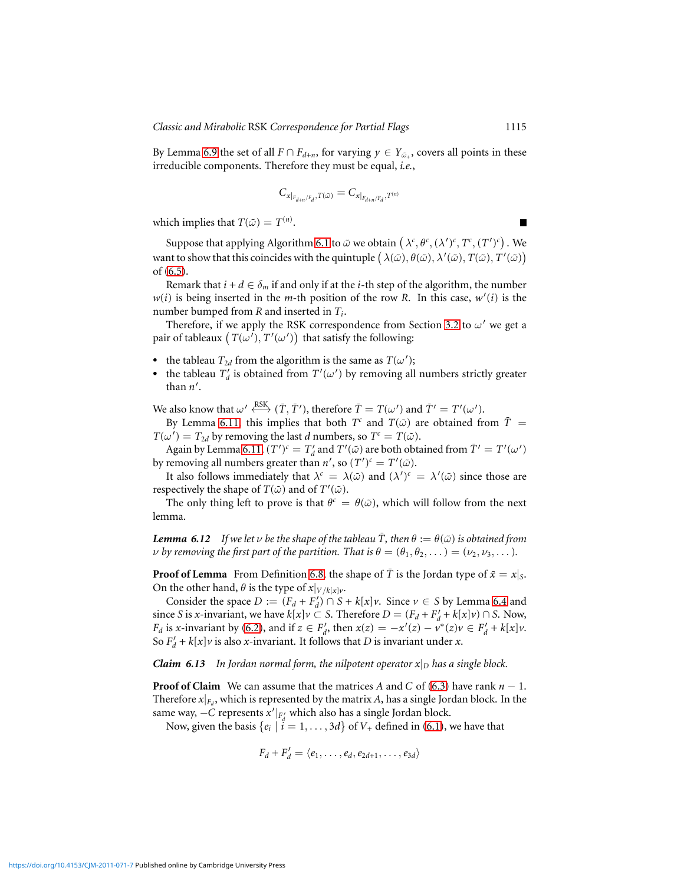By Lemma [6.9](#page-23-0) the set of all  $F \cap F_{d+n}$ , for varying  $y \in Y_{\tilde{\omega}_+}$ , covers all points in these irreducible components. Therefore they must be equal, *i.e.*,

$$
C_{x|_{F_{d+n}/F_d},T(\tilde{\omega})}=C_{x|_{F_{d+n}/F_d},T^{(n)}}
$$

which implies that  $T(\tilde{\omega}) = T^{(n)}$ .

Suppose that applying Algorithm [6.1](#page-16-1) to  $\tilde{\omega}$  we obtain  $(\lambda^c, \theta^c, (\lambda')^c, T^c, (T')^c)$ . We want to show that this coincides with the quintuple  $(\lambda(\tilde{\omega}), \theta(\tilde{\omega}), \lambda'(\tilde{\omega}), T(\tilde{\omega}), T'(\tilde{\omega}))$ of [\(6.5\)](#page-24-1).

Remark that  $i + d \in \delta_m$  if and only if at the *i*-th step of the algorithm, the number  $w(i)$  is being inserted in the *m*-th position of the row *R*. In this case,  $w'(i)$  is the number bumped from *R* and inserted in *T<sup>i</sup>* .

Therefore, if we apply the RSK correspondence from Section [3.2](#page-6-1) to  $\omega'$  we get a pair of tableaux  $(T(\omega'), T'(\omega'))$  that satisfy the following:

- the tableau  $T_{2d}$  from the algorithm is the same as  $T(\omega')$ ;
- the tableau  $T_d'$  is obtained from  $T'(\omega')$  by removing all numbers strictly greater than *n* ′ .

We also know that  $\omega' \stackrel{\text{RSK}}{\longleftrightarrow} (\bar{T}, \bar{T}'),$  therefore  $\bar{T} = T(\omega')$  and  $\bar{T}' = T'(\omega').$ 

By Lemma [6.11,](#page-24-2) this implies that both  $T^c$  and  $T(\tilde{\omega})$  are obtained from  $\tilde{T}$  =  $T(\omega') = T_{2d}$  by removing the last *d* numbers, so  $T^c = T(\tilde{\omega})$ .

Again by Lemma [6.11,](#page-24-2)  $(T')^c = T'_d$  and  $T'(\tilde{\omega})$  are both obtained from  $\tilde{T}' = T'(\omega')$ by removing all numbers greater than  $n'$ , so  $(T')^c = T'(\tilde{\omega})$ .

It also follows immediately that  $\lambda^c = \lambda(\tilde{\omega})$  and  $(\lambda')^c = \lambda'(\tilde{\omega})$  since those are respectively the shape of  $T(\tilde{\omega})$  and of  $T'(\tilde{\omega})$ .

The only thing left to prove is that  $\theta^c = \theta(\tilde{\omega})$ , which will follow from the next lemma.

*Lemma 6.12 If we let*  $\nu$  *be the shape of the tableau*  $\overline{T}$ *, then*  $\theta := \theta(\tilde{\omega})$  *is obtained from v* by removing the first part of the partition. That is  $\theta = (\theta_1, \theta_2, ...)$  =  $(\nu_2, \nu_3, ...)$ .

**Proof of Lemma** From Definition [6.8,](#page-23-1) the shape of  $\overline{T}$  is the Jordan type of  $\overline{x} = x|_S$ . On the other hand,  $\theta$  is the type of  $x|_{V/k[x]v}$ .

Consider the space  $D := (F_d + F_d') \cap S + k[x] \nu$ . Since  $\nu \in S$  by Lemma [6.4](#page-19-0) and since *S* is *x*-invariant, we have  $k[x]v \subset S$ . Therefore  $D = (F_d + F'_d + k[x]v) \cap S$ . Now, *F<sub>d</sub>* is *x*-invariant by [\(6.2\)](#page-19-1), and if  $z \in F'_d$ , then  $x(z) = -x'(z) - v^*(z)v \in F'_d + k[x]v$ . So  $F'_d + k[x]v$  is also *x*-invariant. It follows that *D* is invariant under *x*.

*Claim 6.13 In Jordan normal form, the nilpotent operator*  $x|_D$  *has a single block.* 

**Proof of Claim** We can assume that the matrices *A* and *C* of [\(6.3\)](#page-19-2) have rank  $n - 1$ . Therefore  $x|_{F_d}$ , which is represented by the matrix *A*, has a single Jordan block. In the same way, −*C* represents  $x'|_{F'_d}$  which also has a single Jordan block.

Now, given the basis  $\{e_i \mid i = 1, ..., 3d\}$  of  $V_+$  defined in [\(6.1\)](#page-18-0), we have that

$$
F_d + F'_d = \langle e_1, \ldots, e_d, e_{2d+1}, \ldots, e_{3d} \rangle
$$

■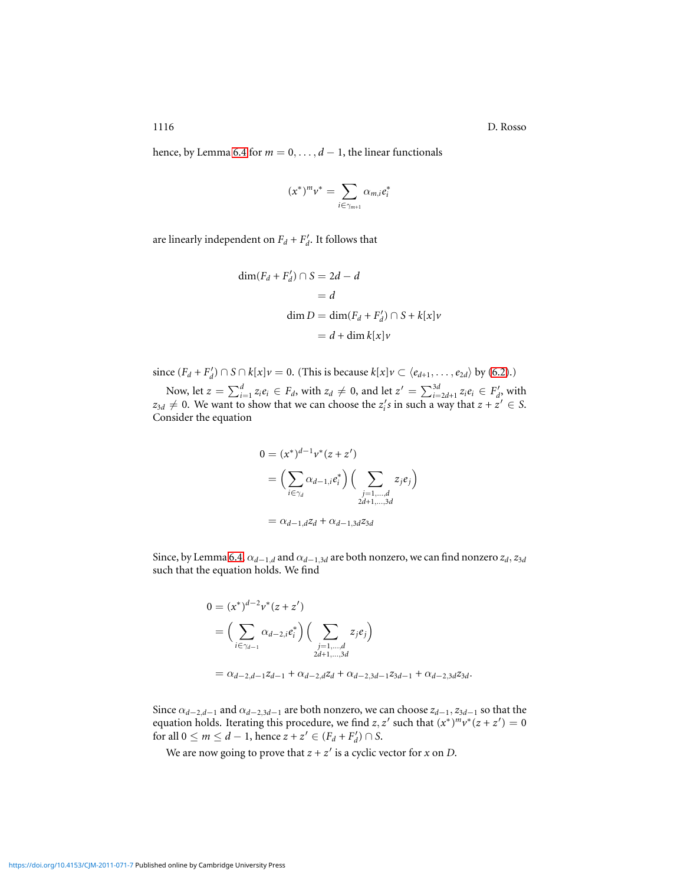1116 D. Rosso

hence, by Lemma [6.4](#page-19-0) for  $m = 0, \ldots, d - 1$ , the linear functionals

$$
(x^*)^m v^* = \sum_{i \in \gamma_{m+1}} \alpha_{m,i} e_i^*
$$

are linearly independent on  $F_d + F'_d$ . It follows that

$$
\dim(F_d + F'_d) \cap S = 2d - d
$$
  
= d  

$$
\dim D = \dim(F_d + F'_d) \cap S + k[x] \nu
$$
  
= d + \dim k[x] \nu

since  $(F_d + F'_d)$  ∩ *S* ∩  $k[x]$ *v* = 0. (This is because  $k[x]$ *v* ⊂  $\langle e_{d+1}, \ldots, e_{2d} \rangle$  by [\(6.2\)](#page-19-1).)

Now, let  $z = \sum_{i=1}^d z_i e_i \in F_d$ , with  $z_d \neq 0$ , and let  $z' = \sum_{i=2d+1}^{3d} z_i e_i \in F_d'$ , with  $z_{3d} \neq 0$ . We want to show that we can choose the  $z_i$ 's in such a way that  $z + z' \in S$ . Consider the equation

$$
0 = (x^*)^{d-1} v^* (z + z')
$$
  
=  $\left( \sum_{i \in \gamma_d} \alpha_{d-1,i} e_i^* \right) \left( \sum_{\substack{j=1,\dots,d \\ 2d+1,\dots,3d}} z_j e_j \right)$   
=  $\alpha_{d-1,d} z_d + \alpha_{d-1,3d} z_{3d}$ 

Since, by Lemma [6.4,](#page-19-0)  $\alpha_{d-1,d}$  and  $\alpha_{d-1,3d}$  are both nonzero, we can find nonzero  $z_d$ ,  $z_{3d}$ such that the equation holds. We find

$$
0 = (x^*)^{d-2} v^* (z + z')
$$
  
=  $\left( \sum_{i \in \gamma_{d-1}} \alpha_{d-2,i} e_i^* \right) \left( \sum_{\substack{j=1,\dots,d\\2d+1,\dots,3d}} z_j e_j \right)$   
=  $\alpha_{d-2,d-1} z_{d-1} + \alpha_{d-2,d} z_d + \alpha_{d-2,3d-1} z_{3d-1} + \alpha_{d-2,3d} z_{3d}.$ 

Since  $\alpha_{d-2,d-1}$  and  $\alpha_{d-2,3d-1}$  are both nonzero, we can choose  $z_{d-1}, z_{3d-1}$  so that the equation holds. Iterating this procedure, we find  $z, z'$  such that  $(x^*)^m v^*(z + z') = 0$ for all  $0 \le m \le d - 1$ , hence  $z + z' \in (F_d + F'_d) \cap S$ .

We are now going to prove that  $z + z'$  is a cyclic vector for  $x$  on  $D$ .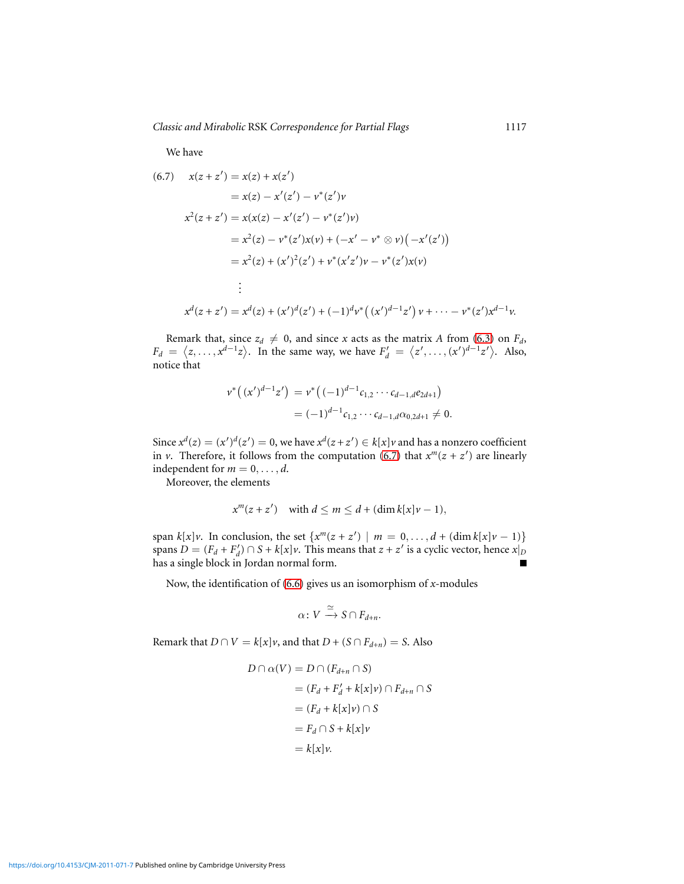We have

<span id="page-27-0"></span>
$$
x(z + z') = x(z) + x(z')
$$
  
\n
$$
= x(z) - x'(z') - v^*(z')v
$$
  
\n
$$
x^2(z + z') = x(x(z) - x'(z') - v^*(z')v)
$$
  
\n
$$
= x^2(z) - v^*(z')x(v) + (-x' - v^* \otimes v)(-x'(z'))
$$
  
\n
$$
= x^2(z) + (x')^2(z') + v^*(x'z')v - v^*(z')x(v)
$$
  
\n
$$
\vdots
$$
  
\n
$$
x^d(z + z') = x^d(z) + (x')^d(z') + (-1)^d v^*\big((x')^{d-1}z'\big)v + \dots - v^*(z')x^{d-1}v.
$$

Remark that, since  $z_d \neq 0$ , and since *x* acts as the matrix *A* from [\(6.3\)](#page-19-2) on  $F_d$ ,  $F_d = \langle z, \ldots, x^{d-1}z \rangle$ . In the same way, we have  $F'_d = \langle z', \ldots, (x')^{d-1}z' \rangle$ . Also, notice that

$$
\begin{aligned} v^* \left( (x')^{d-1} z' \right) &= v^* \left( (-1)^{d-1} c_{1,2} \cdots c_{d-1,d} e_{2d+1} \right) \\ &= (-1)^{d-1} c_{1,2} \cdots c_{d-1,d} \alpha_{0,2d+1} \neq 0. \end{aligned}
$$

Since  $x^d(z) = (x')^d(z') = 0$ , we have  $x^d(z + z') \in k[x]v$  and has a nonzero coefficient in *v*. Therefore, it follows from the computation [\(6.7\)](#page-27-0) that  $x^m(z + z')$  are linearly independent for  $m = 0, \ldots, d$ .

Moreover, the elements

$$
x^m(z+z') \quad \text{with } d \leq m \leq d + (\dim k[x] \nu - 1),
$$

span  $k[x]v$ . In conclusion, the set  $\{x^m(z + z') \mid m = 0, \ldots, d + (\dim k[x]v - 1)\}$ spans  $D = (F_d + F'_d) \cap S + k[x]\nu$ . This means that  $z + z'$  is a cyclic vector, hence  $x|_D$ has a single block in Jordan normal form.

Now, the identification of [\(6.6\)](#page-24-0) gives us an isomorphism of *x*-modules

$$
\alpha\colon V\xrightarrow{\simeq} S\cap F_{d+n}.
$$

Remark that  $D \cap V = k[x]v$ , and that  $D + (S \cap F_{d+n}) = S$ . Also

$$
D \cap \alpha(V) = D \cap (F_{d+n} \cap S)
$$
  
=  $(F_d + F'_d + k[x]\nu) \cap F_{d+n} \cap S$   
=  $(F_d + k[x]\nu) \cap S$   
=  $F_d \cap S + k[x]\nu$   
=  $k[x]\nu$ .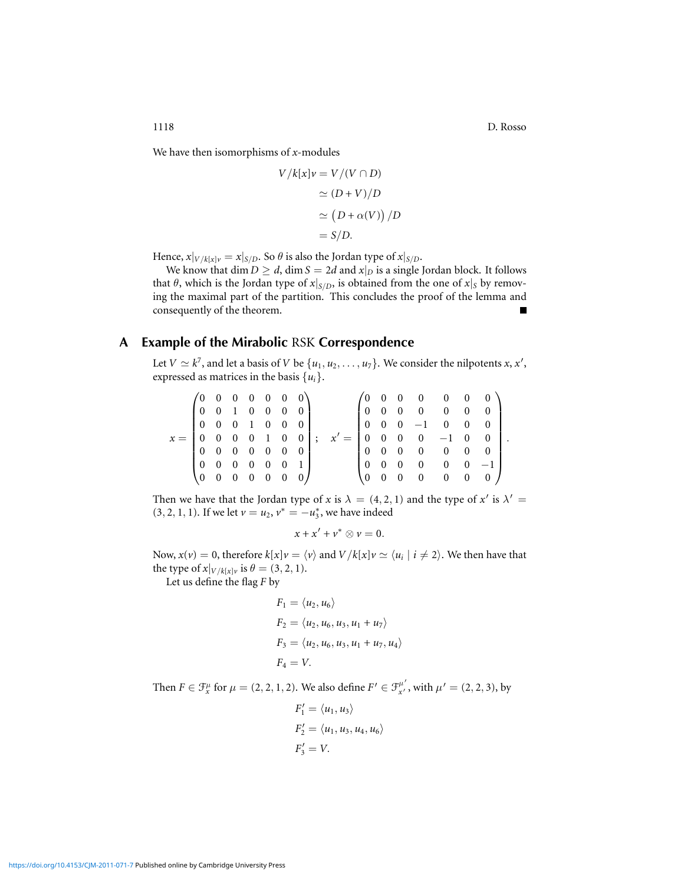1118 D. Rosso

 $\ddot{\phantom{a}}$ 

We have then isomorphisms of *x*-modules

$$
V/k[x]v = V/(V \cap D)
$$

$$
\simeq (D+V)/D
$$

$$
\simeq (D+\alpha(V))/D
$$

$$
= S/D.
$$

Hence,  $x|_{V/k[x]v} = x|_{S/D}$ . So  $\theta$  is also the Jordan type of  $x|_{S/D}$ .

We know that  $\dim D \geq d$ ,  $\dim S = 2d$  and  $x|_D$  is a single Jordan block. It follows that  $\theta$ , which is the Jordan type of  $x|_{S/D}$ , is obtained from the one of  $x|_S$  by removing the maximal part of the partition. This concludes the proof of the lemma and consequently of the theorem.

## **A Example of the Mirabolic** RSK **Correspondence**

<span id="page-28-0"></span>Let  $V \simeq k^7$ , and let a basis of *V* be  $\{u_1, u_2, \ldots, u_7\}$ . We consider the nilpotents *x*, *x'*, expressed as matrices in the basis  $\{u_i\}$ .

|                                                                 | $(0 \t0 \t0 \t0 \t0 \t0 \t0)$                             |             |  |  |                     |                                                                 |             |          | $(0 \t0 \t0 \t0 \t0 \t0 \t0)$                              |            |  |  |
|-----------------------------------------------------------------|-----------------------------------------------------------|-------------|--|--|---------------------|-----------------------------------------------------------------|-------------|----------|------------------------------------------------------------|------------|--|--|
|                                                                 | $\begin{bmatrix} 0 & 0 & 1 & 0 & 0 & 0 & 0 \end{bmatrix}$ |             |  |  |                     |                                                                 |             |          | $\begin{bmatrix} 0 & 0 & 0 & 0 & 0 & 0 & 0 \end{bmatrix}$  |            |  |  |
|                                                                 | $\begin{bmatrix} 0 & 0 & 0 & 1 & 0 & 0 & 0 \end{bmatrix}$ |             |  |  |                     |                                                                 |             |          | $\begin{bmatrix} 0 & 0 & 0 & -1 & 0 & 0 & 0 \end{bmatrix}$ |            |  |  |
| $x = \begin{bmatrix} 0 & 0 & 0 & 0 & 1 & 0 & 0 \end{bmatrix}$ ; |                                                           |             |  |  |                     | $x' = \begin{bmatrix} 0 & 0 & 0 & 0 & -1 & 0 & 0 \end{bmatrix}$ |             |          |                                                            |            |  |  |
|                                                                 | $\begin{bmatrix} 0 & 0 & 0 & 0 & 0 & 0 & 0 \end{bmatrix}$ |             |  |  |                     |                                                                 |             |          | $\begin{bmatrix} 0 & 0 & 0 & 0 & 0 & 0 & 0 \end{bmatrix}$  |            |  |  |
|                                                                 | $\begin{bmatrix} 0 & 0 & 0 & 0 & 0 & 0 & 1 \end{bmatrix}$ |             |  |  |                     |                                                                 |             |          | $\begin{bmatrix} 0 & 0 & 0 & 0 & 0 & 0 & -1 \end{bmatrix}$ |            |  |  |
|                                                                 |                                                           | $0 \t0 \t0$ |  |  | $0 \quad 0 \quad 0$ |                                                                 | $0 \quad 0$ | $\sim 0$ | $\overline{0}$                                             | $0\quad 0$ |  |  |

Then we have that the Jordan type of *x* is  $\lambda = (4, 2, 1)$  and the type of *x'* is  $\lambda' =$ (3, 2, 1, 1). If we let  $v = u_2$ ,  $v^* = -u_3^*$ , we have indeed

$$
x + x' + v^* \otimes v = 0.
$$

Now,  $x(v) = 0$ , therefore  $k[x]v = \langle v \rangle$  and  $V/k[x]v \simeq \langle u_i \mid i \neq 2 \rangle$ . We then have that the type of  $x|_{V/k[x]\nu}$  is  $\theta = (3, 2, 1)$ .

Let us define the flag *F* by

 $\sim$ 

$$
F_1 = \langle u_2, u_6 \rangle
$$
  
\n
$$
F_2 = \langle u_2, u_6, u_3, u_1 + u_7 \rangle
$$
  
\n
$$
F_3 = \langle u_2, u_6, u_3, u_1 + u_7, u_4 \rangle
$$
  
\n
$$
F_4 = V.
$$

Then  $F \in \mathcal{F}_x^\mu$  for  $\mu = (2, 2, 1, 2)$ . We also define  $F' \in \mathcal{F}_{x'}^{\mu'}$  $'_{x'}^{\mu'}$ , with  $\mu' = (2, 2, 3)$ , by

$$
F'_1 = \langle u_1, u_3 \rangle
$$
  
\n
$$
F'_2 = \langle u_1, u_3, u_4, u_6 \rangle
$$
  
\n
$$
F'_3 = V.
$$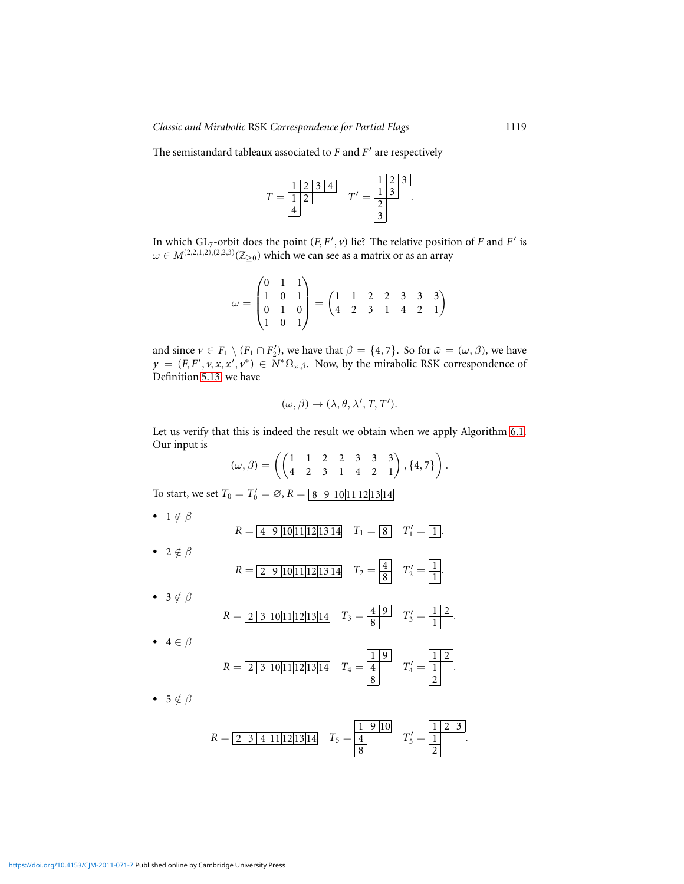The semistandard tableaux associated to *F* and *F* ′ are respectively



In which  $GL_7$ -orbit does the point  $(F, F', v)$  lie? The relative position of *F* and *F'* is  $\omega \in M^{(2,2,1,2),(2,2,3)}(\mathbb{Z}_{\geq 0})$  which we can see as a matrix or as an array

$$
\omega = \begin{pmatrix} 0 & 1 & 1 \\ 1 & 0 & 1 \\ 0 & 1 & 0 \\ 1 & 0 & 1 \end{pmatrix} = \begin{pmatrix} 1 & 1 & 2 & 2 & 3 & 3 & 3 \\ 4 & 2 & 3 & 1 & 4 & 2 & 1 \end{pmatrix}
$$

and since  $\nu \in F_1 \setminus (F_1 \cap F_2')$ , we have that  $\beta = \{4, 7\}$ . So for  $\tilde{\omega} = (\omega, \beta)$ , we have  $y = (F, F', v, x, x', v^*) \in N^* \Omega_{\omega, \beta}$ . Now, by the mirabolic RSK correspondence of Definition [5.13,](#page-16-0) we have

$$
(\omega,\beta)\to(\lambda,\theta,\lambda',T,T').
$$

Let us verify that this is indeed the result we obtain when we apply Algorithm [6.1.](#page-16-1) Our input is

 $(\omega, \beta) = \left( \begin{pmatrix} 1 & 1 & 2 & 2 & 3 & 3 & 3 \\ 4 & 2 & 3 & 1 & 4 & 2 & 1 \end{pmatrix}, \{4, 7\} \right)$  $\overline{ }$ .

To start, we set  $T_0 = T'_0 = \emptyset$ ,  $R = \boxed{8 \mid 9 \mid 10 \mid 11 \mid 12 \mid 13 \mid 14}$ 

\n- \n
$$
R = \boxed{4 \, 9 \, 10 \, 11 \, 12 \, 13 \, 14}
$$
\n $T_1 = \boxed{8}$ \n $T'_1 = \boxed{1}$ \n
\n- \n $R = \boxed{2 \, 9 \, 10 \, 11 \, 12 \, 13 \, 14}$ \n $T_2 = \boxed{4}$ \n $T'_2 = \boxed{1}$ \n
\n- \n $R = \boxed{2 \, 3 \, 10 \, 11 \, 12 \, 13 \, 14}$ \n $T_3 = \boxed{4 \, 9}$ \n $T'_3 = \boxed{1 \, 2}$ \n
\n- \n $A \in \beta$ \n
\n

$$
R = \boxed{2 \mid 3 \mid 10 \mid 11 \mid 12 \mid 13 \mid 14} \quad T_4 = \boxed{\frac{1}{4}} \quad T'_4 = \boxed{\frac{1}{2}}.
$$

.

.

•  $5 \notin \beta$ 

$$
R = \boxed{2 \mid 3 \mid 4 \mid 11 \mid 12 \mid 13 \mid 14} \quad T_5 = \boxed{\frac{1}{4}} \quad T'_5 = \boxed{\frac{1}{2} \mid 2 \mid 3}.
$$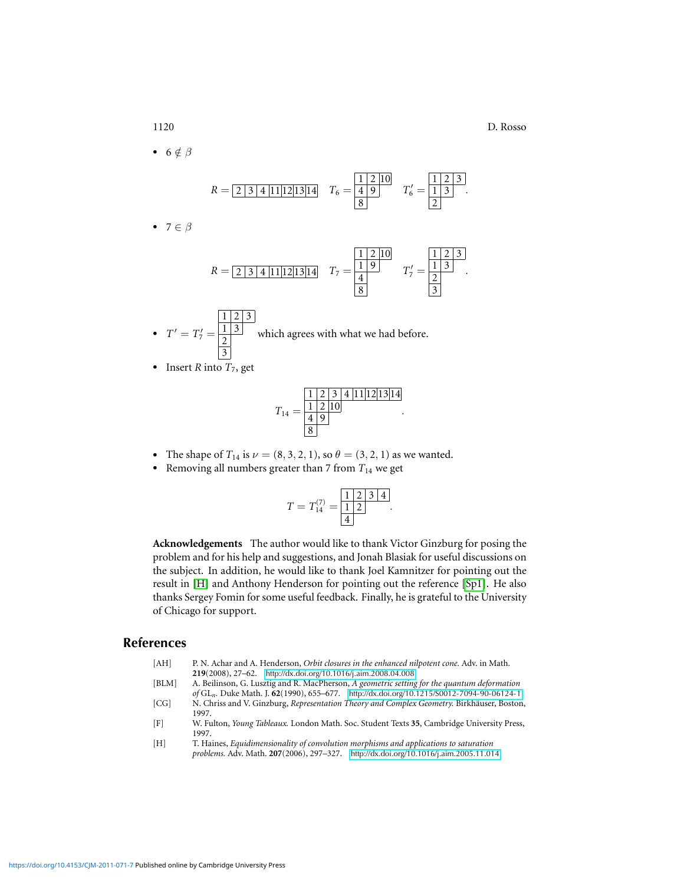$• 7$ 

• 6 $\notin \beta$ 

*R* = 2 3 4 11 12 13 14 *T*<sup>6</sup> = 1 2 10 4 9 8 *T* ′ <sup>6</sup> = 1 2 3 1 3 2 . *R* = 2 3 4 11 12 13 14 *T*<sup>7</sup> = 1 2 10 1 9 4 8 *T* ′ <sup>7</sup> = 1 2 3 1 3 2 3 .

- $T' = T'_7 =$  $1 \, | \, 2 \, | \, 3$  $1 \mid 3$ 2 3 which agrees with what we had before.
- Insert  $R$  into  $T_7$ , get

*T*<sup>14</sup> = 1 2 3 4 11 12 13 14 1 2 10 4 9 8

.

- The shape of  $T_{14}$  is  $\nu = (8, 3, 2, 1)$ , so  $\theta = (3, 2, 1)$  as we wanted.
- Removing all numbers greater than  $7$  from  $T_{14}$  we get

$$
T = T_{14}^{(7)} = \frac{\begin{array}{|c|c|} \hline 1 & 2 & 3 & 4 \\ \hline 1 & 2 & & 4 \\ \hline 4 & & & \end{array}}.
$$

**Acknowledgements** The author would like to thank Victor Ginzburg for posing the problem and for his help and suggestions, and Jonah Blasiak for useful discussions on the subject. In addition, he would like to thank Joel Kamnitzer for pointing out the result in [\[H\]](#page-30-0) and Anthony Henderson for pointing out the reference [\[Sp1\]](#page-31-5). He also thanks Sergey Fomin for some useful feedback. Finally, he is grateful to the University of Chicago for support.

## **References**

- <span id="page-30-4"></span>[AH] P. N. Achar and A. Henderson, *Orbit closures in the enhanced nilpotent cone.* Adv. in Math. **219**(2008), 27–62. <http://dx.doi.org/10.1016/j.aim.2008.04.008>
- <span id="page-30-1"></span>[BLM] A. Beilinson, G. Lusztig and R. MacPherson, *A geometric setting for the quantum deformation of* GL*n.* Duke Math. J. **62**(1990), 655–677. <http://dx.doi.org/10.1215/S0012-7094-90-06124-1>
- <span id="page-30-3"></span>[CG] N. Chriss and V. Ginzburg, *Representation Theory and Complex Geometry*. Birkhäuser, Boston, 1997.
- <span id="page-30-2"></span>[F] W. Fulton, *Young Tableaux.* London Math. Soc. Student Texts **35**, Cambridge University Press, 1997.
- <span id="page-30-0"></span>[H] T. Haines, *Equidimensionality of convolution morphisms and applications to saturation problems.* Adv. Math. **207**(2006), 297–327. <http://dx.doi.org/10.1016/j.aim.2005.11.014>